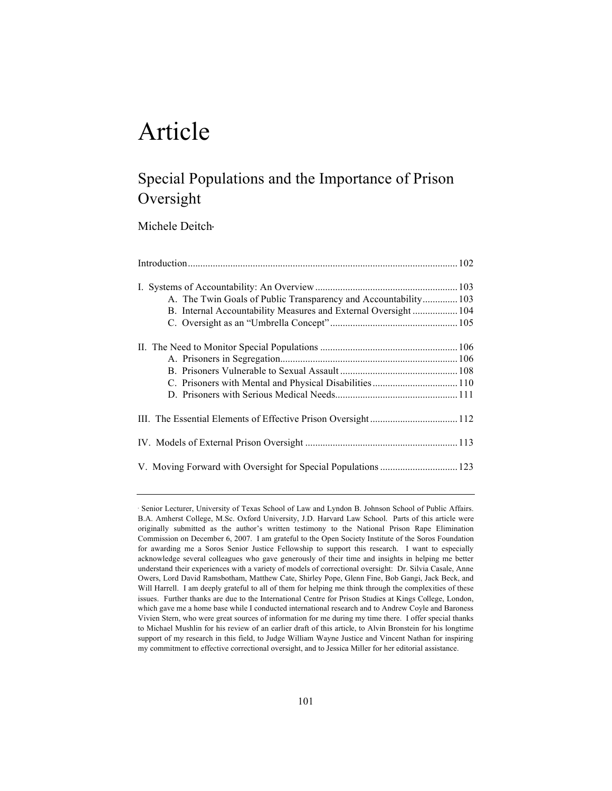# Article

# Special Populations and the Importance of Prison Oversight

Michele Deitch·

| A. The Twin Goals of Public Transparency and Accountability 103 |  |
|-----------------------------------------------------------------|--|
| B. Internal Accountability Measures and External Oversight 104  |  |
|                                                                 |  |
|                                                                 |  |
|                                                                 |  |
|                                                                 |  |
|                                                                 |  |
|                                                                 |  |
|                                                                 |  |
|                                                                 |  |
|                                                                 |  |
|                                                                 |  |

<sup>!</sup> Senior Lecturer, University of Texas School of Law and Lyndon B. Johnson School of Public Affairs. B.A. Amherst College, M.Sc. Oxford University, J.D. Harvard Law School. Parts of this article were originally submitted as the author's written testimony to the National Prison Rape Elimination Commission on December 6, 2007. I am grateful to the Open Society Institute of the Soros Foundation for awarding me a Soros Senior Justice Fellowship to support this research. I want to especially acknowledge several colleagues who gave generously of their time and insights in helping me better understand their experiences with a variety of models of correctional oversight: Dr. Silvia Casale, Anne Owers, Lord David Ramsbotham, Matthew Cate, Shirley Pope, Glenn Fine, Bob Gangi, Jack Beck, and Will Harrell. I am deeply grateful to all of them for helping me think through the complexities of these issues. Further thanks are due to the International Centre for Prison Studies at Kings College, London, which gave me a home base while I conducted international research and to Andrew Coyle and Baroness Vivien Stern, who were great sources of information for me during my time there. I offer special thanks to Michael Mushlin for his review of an earlier draft of this article, to Alvin Bronstein for his longtime support of my research in this field, to Judge William Wayne Justice and Vincent Nathan for inspiring my commitment to effective correctional oversight, and to Jessica Miller for her editorial assistance.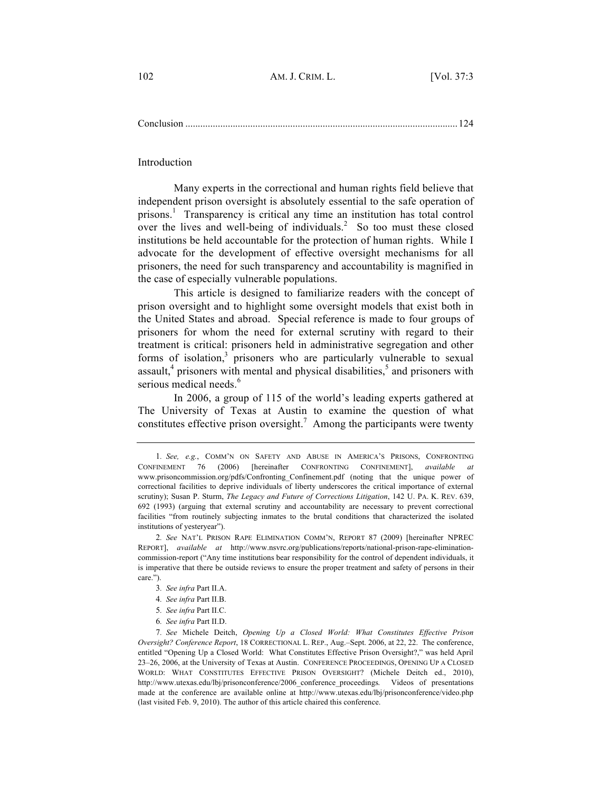Conclusion .............................................................................................................124

Introduction

Many experts in the correctional and human rights field believe that independent prison oversight is absolutely essential to the safe operation of prisons.<sup>1</sup> Transparency is critical any time an institution has total control over the lives and well-being of individuals.<sup>2</sup> So too must these closed institutions be held accountable for the protection of human rights. While I advocate for the development of effective oversight mechanisms for all prisoners, the need for such transparency and accountability is magnified in the case of especially vulnerable populations.

This article is designed to familiarize readers with the concept of prison oversight and to highlight some oversight models that exist both in the United States and abroad. Special reference is made to four groups of prisoners for whom the need for external scrutiny with regard to their treatment is critical: prisoners held in administrative segregation and other forms of isolation, $3$  prisoners who are particularly vulnerable to sexual assault, $<sup>4</sup>$  prisoners with mental and physical disabilities, $<sup>5</sup>$  and prisoners with</sup></sup> serious medical needs.<sup>6</sup>

In 2006, a group of 115 of the world's leading experts gathered at The University of Texas at Austin to examine the question of what constitutes effective prison oversight.<sup>7</sup> Among the participants were twenty

<sup>1</sup>*. See, e.g.*, COMM'N ON SAFETY AND ABUSE IN AMERICA'S PRISONS, CONFRONTING CONFINEMENT 76 (2006) [hereinafter CONFRONTING CONFINEMENT], *available at*  www.prisoncommission.org/pdfs/Confronting\_Confinement.pdf (noting that the unique power of correctional facilities to deprive individuals of liberty underscores the critical importance of external scrutiny); Susan P. Sturm, *The Legacy and Future of Corrections Litigation*, 142 U. PA. K. REV. 639, 692 (1993) (arguing that external scrutiny and accountability are necessary to prevent correctional facilities "from routinely subjecting inmates to the brutal conditions that characterized the isolated institutions of yesteryear").

<sup>2</sup>*. See* NAT'L PRISON RAPE ELIMINATION COMM'N, REPORT 87 (2009) [hereinafter NPREC REPORT], *available at* http://www.nsvrc.org/publications/reports/national-prison-rape-eliminationcommission-report ("Any time institutions bear responsibility for the control of dependent individuals, it is imperative that there be outside reviews to ensure the proper treatment and safety of persons in their care.").

<sup>3</sup>*. See infra* Part II.A.

<sup>4</sup>*. See infra* Part II.B.

<sup>5</sup>*. See infra* Part II.C.

<sup>6</sup>*. See infra* Part II.D.

<sup>7</sup>*. See* Michele Deitch, *Opening Up a Closed World: What Constitutes Effective Prison Oversight? Conference Report*, 18 CORRECTIONAL L. REP., Aug.–Sept. 2006, at 22, 22. The conference, entitled "Opening Up a Closed World: What Constitutes Effective Prison Oversight?," was held April 23–26, 2006, at the University of Texas at Austin. CONFERENCE PROCEEDINGS, OPENING UP A CLOSED WORLD: WHAT CONSTITUTES EFFECTIVE PRISON OVERSIGHT? (Michele Deitch ed., 2010), http://www.utexas.edu/lbj/prisonconference/2006\_conference\_proceedings. Videos of presentations made at the conference are available online at http://www.utexas.edu/lbj/prisonconference/video.php (last visited Feb. 9, 2010). The author of this article chaired this conference.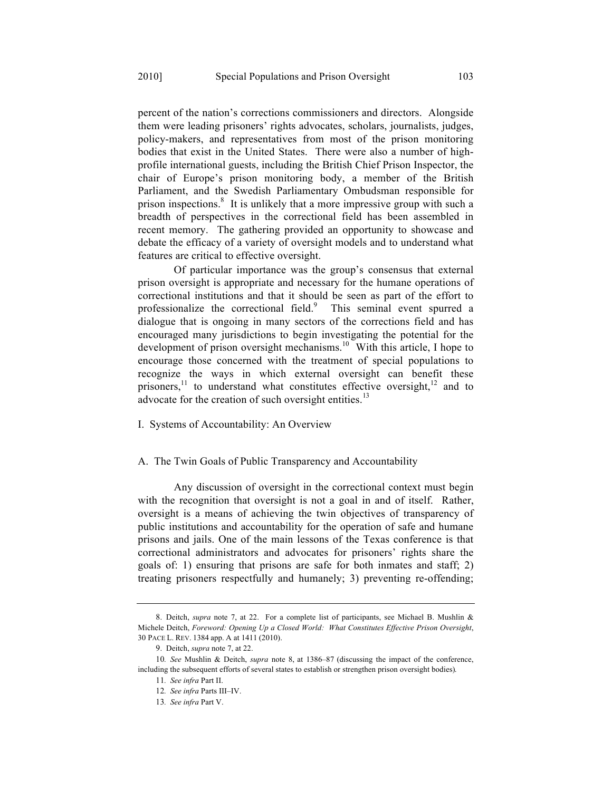percent of the nation's corrections commissioners and directors. Alongside them were leading prisoners' rights advocates, scholars, journalists, judges, policy-makers, and representatives from most of the prison monitoring bodies that exist in the United States. There were also a number of highprofile international guests, including the British Chief Prison Inspector, the chair of Europe's prison monitoring body, a member of the British Parliament, and the Swedish Parliamentary Ombudsman responsible for prison inspections.<sup>8</sup> It is unlikely that a more impressive group with such a breadth of perspectives in the correctional field has been assembled in recent memory. The gathering provided an opportunity to showcase and debate the efficacy of a variety of oversight models and to understand what features are critical to effective oversight.

Of particular importance was the group's consensus that external prison oversight is appropriate and necessary for the humane operations of correctional institutions and that it should be seen as part of the effort to professionalize the correctional field.<sup>9</sup> This seminal event spurred a dialogue that is ongoing in many sectors of the corrections field and has encouraged many jurisdictions to begin investigating the potential for the development of prison oversight mechanisms.<sup>10</sup> With this article, I hope to encourage those concerned with the treatment of special populations to recognize the ways in which external oversight can benefit these prisoners,<sup>11</sup> to understand what constitutes effective oversight,<sup>12</sup> and to advocate for the creation of such oversight entities.<sup>13</sup>

I. Systems of Accountability: An Overview

# A. The Twin Goals of Public Transparency and Accountability

Any discussion of oversight in the correctional context must begin with the recognition that oversight is not a goal in and of itself. Rather, oversight is a means of achieving the twin objectives of transparency of public institutions and accountability for the operation of safe and humane prisons and jails. One of the main lessons of the Texas conference is that correctional administrators and advocates for prisoners' rights share the goals of: 1) ensuring that prisons are safe for both inmates and staff; 2) treating prisoners respectfully and humanely; 3) preventing re-offending;

<sup>8.</sup> Deitch, *supra* note 7, at 22. For a complete list of participants, see Michael B. Mushlin & Michele Deitch, *Foreword: Opening Up a Closed World: What Constitutes Effective Prison Oversight*, 30 PACE L. REV. 1384 app. A at 1411 (2010).

<sup>9.</sup> Deitch, *supra* note 7, at 22.

<sup>10</sup>*. See* Mushlin & Deitch, *supra* note 8, at 1386–87 (discussing the impact of the conference, including the subsequent efforts of several states to establish or strengthen prison oversight bodies).

<sup>11</sup>*. See infra* Part II.

<sup>12</sup>*. See infra* Parts III–IV.

<sup>13</sup>*. See infra* Part V.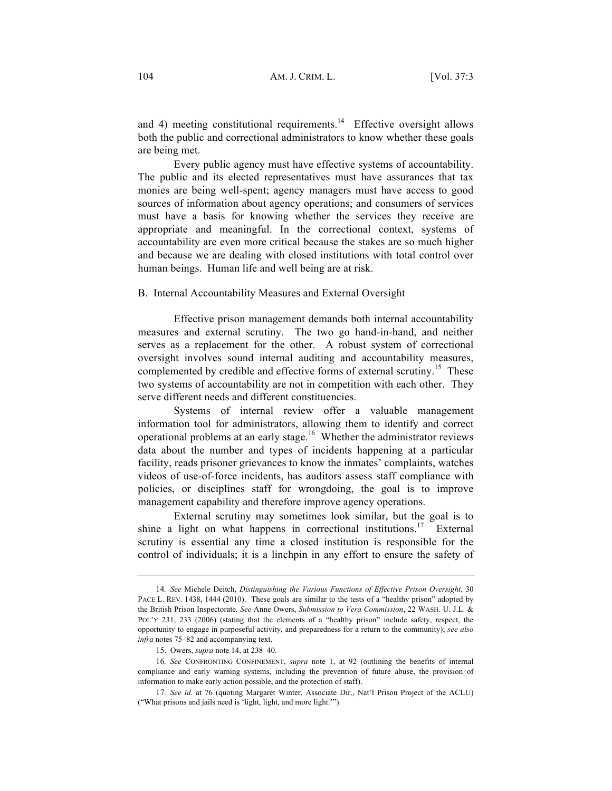and 4) meeting constitutional requirements.<sup>14</sup> Effective oversight allows both the public and correctional administrators to know whether these goals are being met.

Every public agency must have effective systems of accountability. The public and its elected representatives must have assurances that tax monies are being well-spent; agency managers must have access to good sources of information about agency operations; and consumers of services must have a basis for knowing whether the services they receive are appropriate and meaningful. In the correctional context, systems of accountability are even more critical because the stakes are so much higher and because we are dealing with closed institutions with total control over human beings. Human life and well being are at risk.

B. Internal Accountability Measures and External Oversight

Effective prison management demands both internal accountability measures and external scrutiny. The two go hand-in-hand, and neither serves as a replacement for the other. A robust system of correctional oversight involves sound internal auditing and accountability measures, complemented by credible and effective forms of external scrutiny.<sup>15</sup> These two systems of accountability are not in competition with each other. They serve different needs and different constituencies.

Systems of internal review offer a valuable management information tool for administrators, allowing them to identify and correct operational problems at an early stage.16 Whether the administrator reviews data about the number and types of incidents happening at a particular facility, reads prisoner grievances to know the inmates' complaints, watches videos of use-of-force incidents, has auditors assess staff compliance with policies, or disciplines staff for wrongdoing, the goal is to improve management capability and therefore improve agency operations.

External scrutiny may sometimes look similar, but the goal is to shine a light on what happens in correctional institutions.<sup>17</sup> External scrutiny is essential any time a closed institution is responsible for the control of individuals; it is a linchpin in any effort to ensure the safety of

<sup>14</sup>*. See* Michele Deitch, *Distinguishing the Various Functions of Effective Prison Oversight*, 30 PACE L. REV. 1438, 1444 (2010). These goals are similar to the tests of a "healthy prison" adopted by the British Prison Inspectorate. *See* Anne Owers, *Submission to Vera Commission*, 22 WASH. U. J.L. & POL'Y 231, 233 (2006) (stating that the elements of a "healthy prison" include safety, respect, the opportunity to engage in purposeful activity, and preparedness for a return to the community); *see also infra* notes 75–82 and accompanying text.

<sup>15.</sup> Owers, *supra* note 14, at 238–40.

<sup>16</sup>*. See* CONFRONTING CONFINEMENT, *supra* note 1, at 92 (outlining the benefits of internal compliance and early warning systems, including the prevention of future abuse, the provision of information to make early action possible, and the protection of staff).

<sup>17</sup>*. See id.* at 76 (quoting Margaret Winter, Associate Dir., Nat'l Prison Project of the ACLU) ("What prisons and jails need is 'light, light, and more light.'").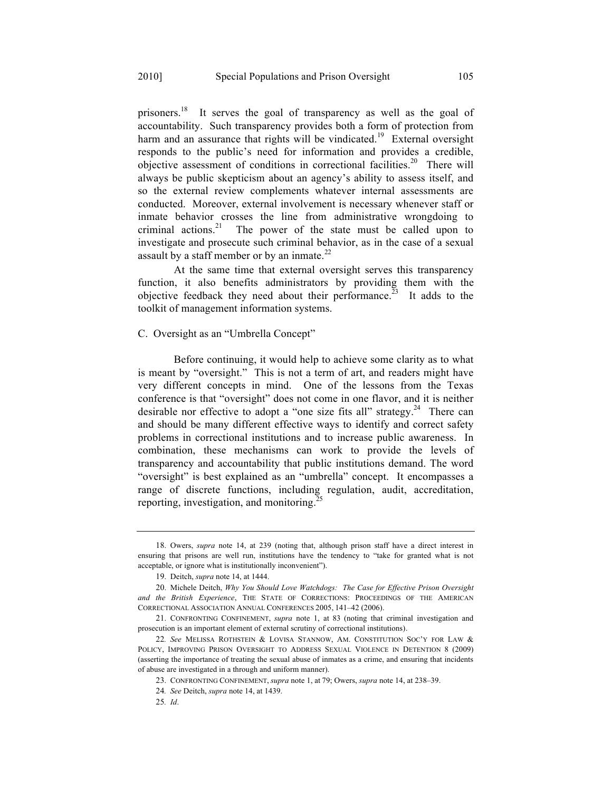prisoners.<sup>18</sup> It serves the goal of transparency as well as the goal of accountability. Such transparency provides both a form of protection from harm and an assurance that rights will be vindicated.<sup>19</sup> External oversight responds to the public's need for information and provides a credible, objective assessment of conditions in correctional facilities.<sup>20</sup> There will always be public skepticism about an agency's ability to assess itself, and so the external review complements whatever internal assessments are conducted. Moreover, external involvement is necessary whenever staff or inmate behavior crosses the line from administrative wrongdoing to criminal actions.<sup>21</sup> The power of the state must be called upon to investigate and prosecute such criminal behavior, as in the case of a sexual assault by a staff member or by an inmate.<sup>22</sup>

At the same time that external oversight serves this transparency function, it also benefits administrators by providing them with the objective feedback they need about their performance.<sup>23</sup> It adds to the toolkit of management information systems.

#### C. Oversight as an "Umbrella Concept"

Before continuing, it would help to achieve some clarity as to what is meant by "oversight." This is not a term of art, and readers might have very different concepts in mind. One of the lessons from the Texas conference is that "oversight" does not come in one flavor, and it is neither desirable nor effective to adopt a "one size fits all" strategy.<sup>24</sup> There can and should be many different effective ways to identify and correct safety problems in correctional institutions and to increase public awareness. In combination, these mechanisms can work to provide the levels of transparency and accountability that public institutions demand. The word "oversight" is best explained as an "umbrella" concept. It encompasses a range of discrete functions, including regulation, audit, accreditation, reporting, investigation, and monitoring.<sup>25</sup>

<sup>18.</sup> Owers, *supra* note 14, at 239 (noting that, although prison staff have a direct interest in ensuring that prisons are well run, institutions have the tendency to "take for granted what is not acceptable, or ignore what is institutionally inconvenient").

<sup>19.</sup> Deitch, *supra* note 14, at 1444.

<sup>20.</sup> Michele Deitch, *Why You Should Love Watchdogs: The Case for Effective Prison Oversight and the British Experience*, THE STATE OF CORRECTIONS: PROCEEDINGS OF THE AMERICAN CORRECTIONAL ASSOCIATION ANNUAL CONFERENCES 2005, 141–42 (2006).

<sup>21.</sup> CONFRONTING CONFINEMENT, *supra* note 1, at 83 (noting that criminal investigation and prosecution is an important element of external scrutiny of correctional institutions).

<sup>22</sup>*. See* MELISSA ROTHSTEIN & LOVISA STANNOW, AM. CONSTITUTION SOC'Y FOR LAW & POLICY, IMPROVING PRISON OVERSIGHT TO ADDRESS SEXUAL VIOLENCE IN DETENTION 8 (2009) (asserting the importance of treating the sexual abuse of inmates as a crime, and ensuring that incidents of abuse are investigated in a through and uniform manner).

<sup>23.</sup> CONFRONTING CONFINEMENT, *supra* note 1, at 79; Owers, *supra* note 14, at 238–39.

<sup>24</sup>*. See* Deitch, *supra* note 14, at 1439.

<sup>25</sup>*. Id*.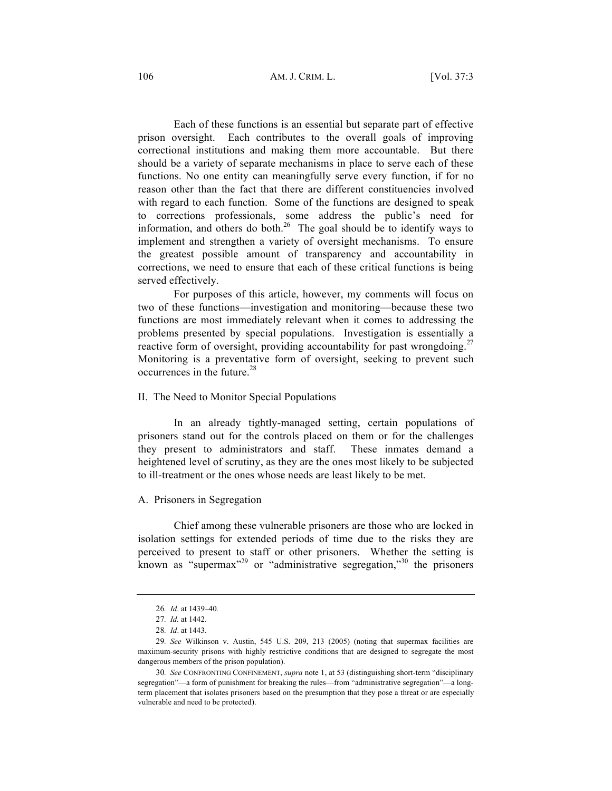106 AM. J. CRIM. L. [Vol. 37:3

Each of these functions is an essential but separate part of effective prison oversight. Each contributes to the overall goals of improving correctional institutions and making them more accountable. But there should be a variety of separate mechanisms in place to serve each of these functions. No one entity can meaningfully serve every function, if for no reason other than the fact that there are different constituencies involved with regard to each function. Some of the functions are designed to speak to corrections professionals, some address the public's need for information, and others do both.<sup>26</sup> The goal should be to identify ways to implement and strengthen a variety of oversight mechanisms. To ensure the greatest possible amount of transparency and accountability in corrections, we need to ensure that each of these critical functions is being served effectively.

For purposes of this article, however, my comments will focus on two of these functions—investigation and monitoring—because these two functions are most immediately relevant when it comes to addressing the problems presented by special populations. Investigation is essentially a reactive form of oversight, providing accountability for past wrongdoing.<sup>27</sup> Monitoring is a preventative form of oversight, seeking to prevent such  $occurrences$  in the future.<sup>28</sup>

#### II. The Need to Monitor Special Populations

In an already tightly-managed setting, certain populations of prisoners stand out for the controls placed on them or for the challenges they present to administrators and staff. These inmates demand a heightened level of scrutiny, as they are the ones most likely to be subjected to ill-treatment or the ones whose needs are least likely to be met.

# A. Prisoners in Segregation

Chief among these vulnerable prisoners are those who are locked in isolation settings for extended periods of time due to the risks they are perceived to present to staff or other prisoners. Whether the setting is known as "supermax"<sup>29</sup> or "administrative segregation,"<sup>30</sup> the prisoners

<sup>26</sup>*. Id*. at 1439–40*.*

<sup>27</sup>*. Id.* at 1442.

<sup>28</sup>*. Id*. at 1443.

<sup>29</sup>*. See* Wilkinson v. Austin, 545 U.S. 209, 213 (2005) (noting that supermax facilities are maximum-security prisons with highly restrictive conditions that are designed to segregate the most dangerous members of the prison population).

<sup>30</sup>*. See* CONFRONTING CONFINEMENT, *supra* note 1, at 53 (distinguishing short-term "disciplinary segregation"—a form of punishment for breaking the rules—from "administrative segregation"—a longterm placement that isolates prisoners based on the presumption that they pose a threat or are especially vulnerable and need to be protected).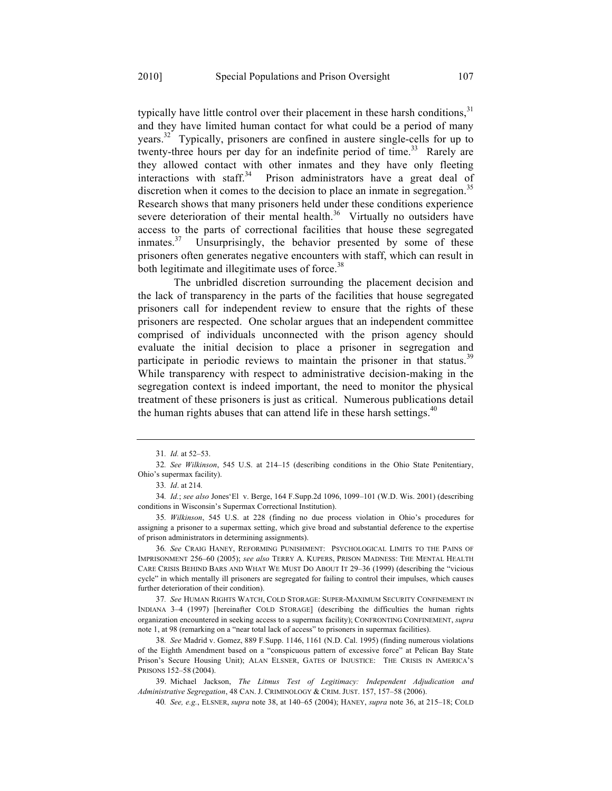typically have little control over their placement in these harsh conditions.<sup>31</sup> and they have limited human contact for what could be a period of many years.32 Typically, prisoners are confined in austere single-cells for up to twenty-three hours per day for an indefinite period of time.<sup>33</sup> Rarely are they allowed contact with other inmates and they have only fleeting interactions with staff.<sup>34</sup> Prison administrators have a great deal of discretion when it comes to the decision to place an inmate in segregation.<sup>35</sup> Research shows that many prisoners held under these conditions experience severe deterioration of their mental health.<sup>36</sup> Virtually no outsiders have access to the parts of correctional facilities that house these segregated inmates.<sup>37</sup> Unsurprisingly, the behavior presented by some of these prisoners often generates negative encounters with staff, which can result in both legitimate and illegitimate uses of force.<sup>38</sup>

The unbridled discretion surrounding the placement decision and the lack of transparency in the parts of the facilities that house segregated prisoners call for independent review to ensure that the rights of these prisoners are respected. One scholar argues that an independent committee comprised of individuals unconnected with the prison agency should evaluate the initial decision to place a prisoner in segregation and participate in periodic reviews to maintain the prisoner in that status.<sup>39</sup> While transparency with respect to administrative decision-making in the segregation context is indeed important, the need to monitor the physical treatment of these prisoners is just as critical. Numerous publications detail the human rights abuses that can attend life in these harsh settings. $40$ 

35*. Wilkinson*, 545 U.S. at 228 (finding no due process violation in Ohio's procedures for assigning a prisoner to a supermax setting, which give broad and substantial deference to the expertise of prison administrators in determining assignments).

36*. See* CRAIG HANEY, REFORMING PUNISHMENT: PSYCHOLOGICAL LIMITS TO THE PAINS OF IMPRISONMENT 256–60 (2005); *see also* TERRY A. KUPERS, PRISON MADNESS: THE MENTAL HEALTH CARE CRISIS BEHIND BARS AND WHAT WE MUST DO ABOUT IT 29–36 (1999) (describing the "vicious cycle" in which mentally ill prisoners are segregated for failing to control their impulses, which causes further deterioration of their condition).

37*. See* HUMAN RIGHTS WATCH, COLD STORAGE: SUPER-MAXIMUM SECURITY CONFINEMENT IN INDIANA 3–4 (1997) [hereinafter COLD STORAGE] (describing the difficulties the human rights organization encountered in seeking access to a supermax facility); CONFRONTING CONFINEMENT, *supra* note 1, at 98 (remarking on a "near total lack of access" to prisoners in supermax facilities).

38*. See* Madrid v. Gomez, 889 F.Supp. 1146, 1161 (N.D. Cal. 1995) (finding numerous violations of the Eighth Amendment based on a "conspicuous pattern of excessive force" at Pelican Bay State Prison's Secure Housing Unit); ALAN ELSNER, GATES OF INJUSTICE: THE CRISIS IN AMERICA'S PRISONS 152–58 (2004).

39. Michael Jackson, *The Litmus Test of Legitimacy: Independent Adjudication and Administrative Segregation*, 48 CAN. J. CRIMINOLOGY & CRIM. JUST. 157, 157–58 (2006).

40*. See, e.g.*, ELSNER, *supra* note 38, at 140–65 (2004); HANEY, *supra* note 36, at 215–18; COLD

<sup>31</sup>*. Id.* at 52–53.

<sup>32</sup>*. See Wilkinson*, 545 U.S. at 214–15 (describing conditions in the Ohio State Penitentiary, Ohio's supermax facility).

<sup>33</sup>*. Id*. at 214*.*

<sup>34</sup>*. Id.*; *see also* Jones'El v. Berge, 164 F.Supp.2d 1096, 1099–101 (W.D. Wis. 2001) (describing conditions in Wisconsin's Supermax Correctional Institution).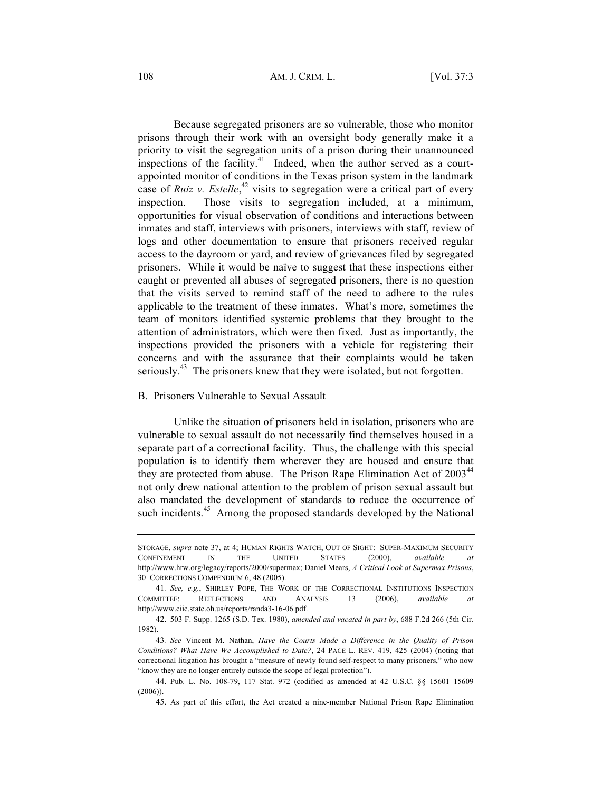108 AM. J. CRIM. L. [Vol. 37:3

Because segregated prisoners are so vulnerable, those who monitor prisons through their work with an oversight body generally make it a priority to visit the segregation units of a prison during their unannounced inspections of the facility.<sup>41</sup> Indeed, when the author served as a courtappointed monitor of conditions in the Texas prison system in the landmark case of *Ruiz v. Estelle*,<sup>42</sup> visits to segregation were a critical part of every inspection. Those visits to segregation included, at a minimum, opportunities for visual observation of conditions and interactions between inmates and staff, interviews with prisoners, interviews with staff, review of logs and other documentation to ensure that prisoners received regular access to the dayroom or yard, and review of grievances filed by segregated prisoners. While it would be naïve to suggest that these inspections either caught or prevented all abuses of segregated prisoners, there is no question that the visits served to remind staff of the need to adhere to the rules applicable to the treatment of these inmates. What's more, sometimes the team of monitors identified systemic problems that they brought to the attention of administrators, which were then fixed. Just as importantly, the inspections provided the prisoners with a vehicle for registering their concerns and with the assurance that their complaints would be taken seriously.<sup>43</sup> The prisoners knew that they were isolated, but not forgotten.

# B. Prisoners Vulnerable to Sexual Assault

Unlike the situation of prisoners held in isolation, prisoners who are vulnerable to sexual assault do not necessarily find themselves housed in a separate part of a correctional facility. Thus, the challenge with this special population is to identify them wherever they are housed and ensure that they are protected from abuse. The Prison Rape Elimination Act of  $2003<sup>44</sup>$ not only drew national attention to the problem of prison sexual assault but also mandated the development of standards to reduce the occurrence of such incidents.<sup>45</sup> Among the proposed standards developed by the National

STORAGE, *supra* note 37, at 4; HUMAN RIGHTS WATCH, OUT OF SIGHT: SUPER-MAXIMUM SECURITY CONFINEMENT IN THE UNITED STATES (2000), *available at* http://www.hrw.org/legacy/reports/2000/supermax; Daniel Mears, *A Critical Look at Supermax Prisons*, 30 CORRECTIONS COMPENDIUM 6, 48 (2005).

<sup>41</sup>*. See, e.g.*, SHIRLEY POPE, THE WORK OF THE CORRECTIONAL INSTITUTIONS INSPECTION COMMITTEE: REFLECTIONS AND ANALYSIS 13 (2006), *available at* http://www.ciic.state.oh.us/reports/randa3-16-06.pdf.

<sup>42.</sup> 503 F. Supp. 1265 (S.D. Tex. 1980), *amended and vacated in part by*, 688 F.2d 266 (5th Cir. 1982).

<sup>43</sup>*. See* Vincent M. Nathan, *Have the Courts Made a Difference in the Quality of Prison Conditions? What Have We Accomplished to Date?*, 24 PACE L. REV. 419, 425 (2004) (noting that correctional litigation has brought a "measure of newly found self-respect to many prisoners," who now "know they are no longer entirely outside the scope of legal protection").

<sup>44.</sup> Pub. L. No. 108-79, 117 Stat. 972 (codified as amended at 42 U.S.C. §§ 15601–15609 (2006)).

<sup>45.</sup> As part of this effort, the Act created a nine-member National Prison Rape Elimination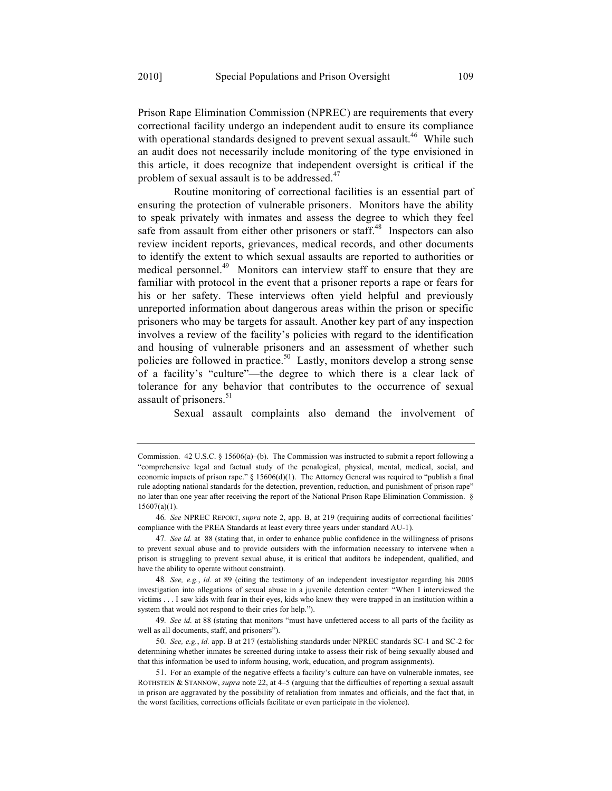Prison Rape Elimination Commission (NPREC) are requirements that every correctional facility undergo an independent audit to ensure its compliance with operational standards designed to prevent sexual assault.<sup>46</sup> While such an audit does not necessarily include monitoring of the type envisioned in this article, it does recognize that independent oversight is critical if the problem of sexual assault is to be addressed.<sup>47</sup>

Routine monitoring of correctional facilities is an essential part of ensuring the protection of vulnerable prisoners. Monitors have the ability to speak privately with inmates and assess the degree to which they feel safe from assault from either other prisoners or staff.<sup>48</sup> Inspectors can also review incident reports, grievances, medical records, and other documents to identify the extent to which sexual assaults are reported to authorities or medical personnel.<sup>49</sup> Monitors can interview staff to ensure that they are familiar with protocol in the event that a prisoner reports a rape or fears for his or her safety. These interviews often yield helpful and previously unreported information about dangerous areas within the prison or specific prisoners who may be targets for assault. Another key part of any inspection involves a review of the facility's policies with regard to the identification and housing of vulnerable prisoners and an assessment of whether such policies are followed in practice.<sup>50</sup> Lastly, monitors develop a strong sense of a facility's "culture"—the degree to which there is a clear lack of tolerance for any behavior that contributes to the occurrence of sexual assault of prisoners.<sup>51</sup>

Sexual assault complaints also demand the involvement of

Commission. 42 U.S.C. § 15606(a)–(b). The Commission was instructed to submit a report following a "comprehensive legal and factual study of the penalogical, physical, mental, medical, social, and economic impacts of prison rape." § 15606(d)(1). The Attorney General was required to "publish a final rule adopting national standards for the detection, prevention, reduction, and punishment of prison rape" no later than one year after receiving the report of the National Prison Rape Elimination Commission. §  $15607(a)(1)$ .

<sup>46</sup>*. See* NPREC REPORT, *supra* note 2, app. B, at 219 (requiring audits of correctional facilities' compliance with the PREA Standards at least every three years under standard AU-1).

<sup>47</sup>*. See id.* at 88 (stating that, in order to enhance public confidence in the willingness of prisons to prevent sexual abuse and to provide outsiders with the information necessary to intervene when a prison is struggling to prevent sexual abuse, it is critical that auditors be independent, qualified, and have the ability to operate without constraint).

<sup>48</sup>*. See, e.g.*, *id.* at 89 (citing the testimony of an independent investigator regarding his 2005 investigation into allegations of sexual abuse in a juvenile detention center: "When I interviewed the victims . . . I saw kids with fear in their eyes, kids who knew they were trapped in an institution within a system that would not respond to their cries for help.").

<sup>49</sup>*. See id.* at 88 (stating that monitors "must have unfettered access to all parts of the facility as well as all documents, staff, and prisoners").

<sup>50</sup>*. See, e.g.*, *id.* app. B at 217 (establishing standards under NPREC standards SC-1 and SC-2 for determining whether inmates be screened during intake to assess their risk of being sexually abused and that this information be used to inform housing, work, education, and program assignments).

<sup>51.</sup> For an example of the negative effects a facility's culture can have on vulnerable inmates, see ROTHSTEIN & STANNOW, *supra* note 22, at 4–5 (arguing that the difficulties of reporting a sexual assault in prison are aggravated by the possibility of retaliation from inmates and officials, and the fact that, in the worst facilities, corrections officials facilitate or even participate in the violence).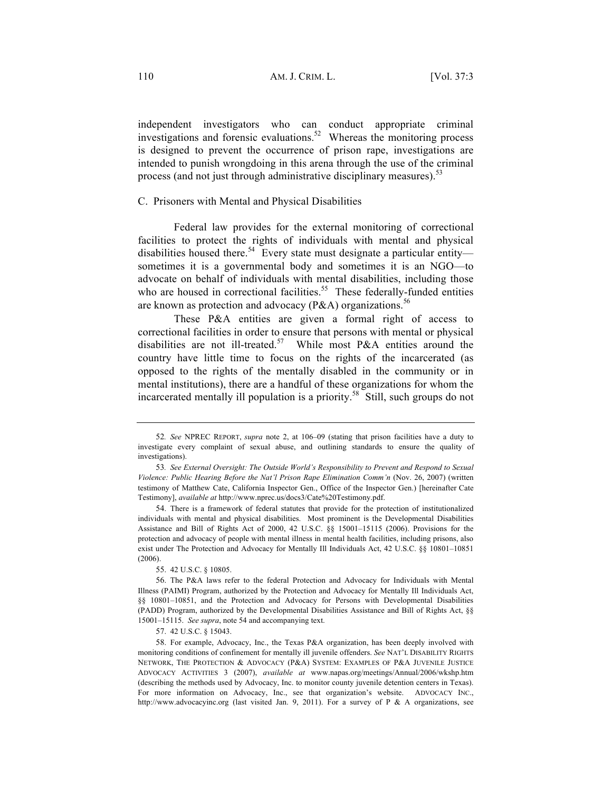independent investigators who can conduct appropriate criminal investigations and forensic evaluations.<sup>52</sup> Whereas the monitoring process is designed to prevent the occurrence of prison rape, investigations are intended to punish wrongdoing in this arena through the use of the criminal process (and not just through administrative disciplinary measures).<sup>53</sup>

# C. Prisoners with Mental and Physical Disabilities

Federal law provides for the external monitoring of correctional facilities to protect the rights of individuals with mental and physical disabilities housed there.<sup>54</sup> Every state must designate a particular entity sometimes it is a governmental body and sometimes it is an NGO—to advocate on behalf of individuals with mental disabilities, including those who are housed in correctional facilities.<sup>55</sup> These federally-funded entities are known as protection and advocacy (P&A) organizations.<sup>56</sup>

These P&A entities are given a formal right of access to correctional facilities in order to ensure that persons with mental or physical disabilities are not ill-treated.<sup>57</sup> While most P&A entities around the country have little time to focus on the rights of the incarcerated (as opposed to the rights of the mentally disabled in the community or in mental institutions), there are a handful of these organizations for whom the incarcerated mentally ill population is a priority.<sup>58</sup> Still, such groups do not

55. 42 U.S.C. § 10805.

<sup>52</sup>*. See* NPREC REPORT, *supra* note 2, at 106–09 (stating that prison facilities have a duty to investigate every complaint of sexual abuse, and outlining standards to ensure the quality of investigations).

<sup>53</sup>*. See External Oversight: The Outside World's Responsibility to Prevent and Respond to Sexual Violence: Public Hearing Before the Nat'l Prison Rape Elimination Comm'n* (Nov. 26, 2007) (written testimony of Matthew Cate, California Inspector Gen., Office of the Inspector Gen.) [hereinafter Cate Testimony], *available at* http://www.nprec.us/docs3/Cate%20Testimony.pdf.

<sup>54.</sup> There is a framework of federal statutes that provide for the protection of institutionalized individuals with mental and physical disabilities. Most prominent is the Developmental Disabilities Assistance and Bill of Rights Act of 2000, 42 U.S.C. §§ 15001–15115 (2006). Provisions for the protection and advocacy of people with mental illness in mental health facilities, including prisons, also exist under The Protection and Advocacy for Mentally Ill Individuals Act, 42 U.S.C. §§ 10801–10851 (2006).

<sup>56.</sup> The P&A laws refer to the federal Protection and Advocacy for Individuals with Mental Illness (PAIMI) Program, authorized by the Protection and Advocacy for Mentally Ill Individuals Act, §§ 10801–10851, and the Protection and Advocacy for Persons with Developmental Disabilities (PADD) Program, authorized by the Developmental Disabilities Assistance and Bill of Rights Act, §§ 15001–15115. *See supra*, note 54 and accompanying text.

<sup>57.</sup> 42 U.S.C. § 15043.

<sup>58.</sup> For example, Advocacy, Inc., the Texas P&A organization, has been deeply involved with monitoring conditions of confinement for mentally ill juvenile offenders. *See* NAT'L DISABILITY RIGHTS NETWORK, THE PROTECTION & ADVOCACY (P&A) SYSTEM: EXAMPLES OF P&A JUVENILE JUSTICE ADVOCACY ACTIVITIES 3 (2007), *available at* www.napas.org/meetings/Annual/2006/wkshp.htm (describing the methods used by Advocacy, Inc. to monitor county juvenile detention centers in Texas). For more information on Advocacy, Inc., see that organization's website. ADVOCACY INC., http://www.advocacyinc.org (last visited Jan. 9, 2011). For a survey of P & A organizations, see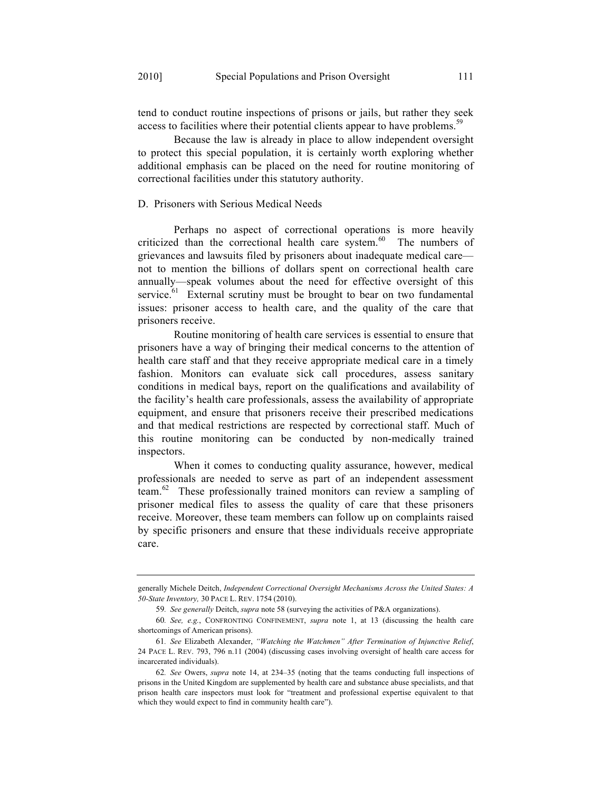tend to conduct routine inspections of prisons or jails, but rather they seek access to facilities where their potential clients appear to have problems.<sup>59</sup>

Because the law is already in place to allow independent oversight to protect this special population, it is certainly worth exploring whether additional emphasis can be placed on the need for routine monitoring of correctional facilities under this statutory authority.

# D. Prisoners with Serious Medical Needs

Perhaps no aspect of correctional operations is more heavily criticized than the correctional health care system.<sup>60</sup> The numbers of grievances and lawsuits filed by prisoners about inadequate medical care not to mention the billions of dollars spent on correctional health care annually—speak volumes about the need for effective oversight of this service. $61$  External scrutiny must be brought to bear on two fundamental issues: prisoner access to health care, and the quality of the care that prisoners receive.

Routine monitoring of health care services is essential to ensure that prisoners have a way of bringing their medical concerns to the attention of health care staff and that they receive appropriate medical care in a timely fashion. Monitors can evaluate sick call procedures, assess sanitary conditions in medical bays, report on the qualifications and availability of the facility's health care professionals, assess the availability of appropriate equipment, and ensure that prisoners receive their prescribed medications and that medical restrictions are respected by correctional staff. Much of this routine monitoring can be conducted by non-medically trained inspectors.

When it comes to conducting quality assurance, however, medical professionals are needed to serve as part of an independent assessment team.62 These professionally trained monitors can review a sampling of prisoner medical files to assess the quality of care that these prisoners receive. Moreover, these team members can follow up on complaints raised by specific prisoners and ensure that these individuals receive appropriate care.

generally Michele Deitch, *Independent Correctional Oversight Mechanisms Across the United States: A 50-State Inventory,* 30 PACE L. REV. 1754 (2010).

<sup>59</sup>*. See generally* Deitch, *supra* note 58 (surveying the activities of P&A organizations).

<sup>60</sup>*. See, e.g.*, CONFRONTING CONFINEMENT, *supra* note 1, at 13 (discussing the health care shortcomings of American prisons).

<sup>61</sup>*. See* Elizabeth Alexander, *"Watching the Watchmen" After Termination of Injunctive Relief*, 24 PACE L. REV. 793, 796 n.11 (2004) (discussing cases involving oversight of health care access for incarcerated individuals).

<sup>62</sup>*. See* Owers, *supra* note 14, at 234–35 (noting that the teams conducting full inspections of prisons in the United Kingdom are supplemented by health care and substance abuse specialists, and that prison health care inspectors must look for "treatment and professional expertise equivalent to that which they would expect to find in community health care").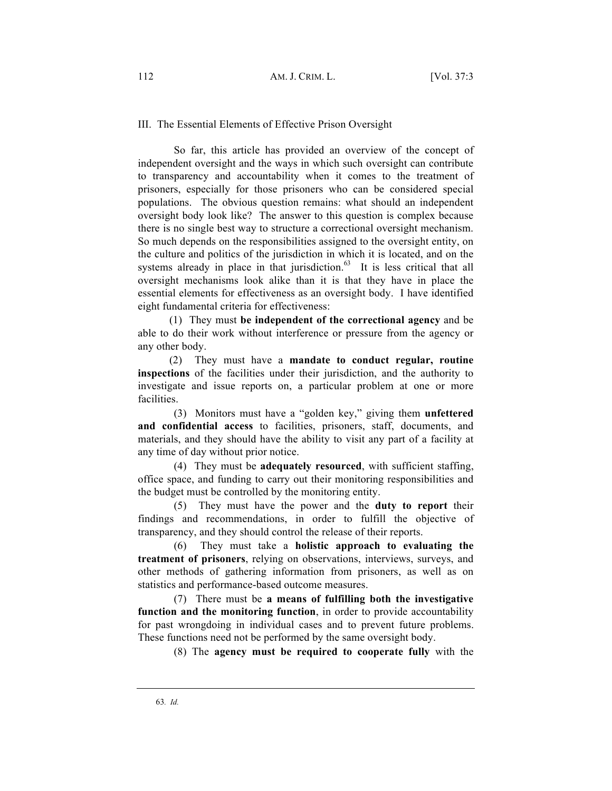### III. The Essential Elements of Effective Prison Oversight

So far, this article has provided an overview of the concept of independent oversight and the ways in which such oversight can contribute to transparency and accountability when it comes to the treatment of prisoners, especially for those prisoners who can be considered special populations. The obvious question remains: what should an independent oversight body look like? The answer to this question is complex because there is no single best way to structure a correctional oversight mechanism. So much depends on the responsibilities assigned to the oversight entity, on the culture and politics of the jurisdiction in which it is located, and on the systems already in place in that jurisdiction. $63$  It is less critical that all oversight mechanisms look alike than it is that they have in place the essential elements for effectiveness as an oversight body. I have identified eight fundamental criteria for effectiveness:

(1) They must **be independent of the correctional agency** and be able to do their work without interference or pressure from the agency or any other body.

(2) They must have a **mandate to conduct regular, routine inspections** of the facilities under their jurisdiction, and the authority to investigate and issue reports on, a particular problem at one or more facilities.

(3) Monitors must have a "golden key," giving them **unfettered and confidential access** to facilities, prisoners, staff, documents, and materials, and they should have the ability to visit any part of a facility at any time of day without prior notice.

(4) They must be **adequately resourced**, with sufficient staffing, office space, and funding to carry out their monitoring responsibilities and the budget must be controlled by the monitoring entity.

(5) They must have the power and the **duty to report** their findings and recommendations, in order to fulfill the objective of transparency, and they should control the release of their reports.

(6) They must take a **holistic approach to evaluating the treatment of prisoners**, relying on observations, interviews, surveys, and other methods of gathering information from prisoners, as well as on statistics and performance-based outcome measures.

(7) There must be **a means of fulfilling both the investigative function and the monitoring function**, in order to provide accountability for past wrongdoing in individual cases and to prevent future problems. These functions need not be performed by the same oversight body.

(8) The **agency must be required to cooperate fully** with the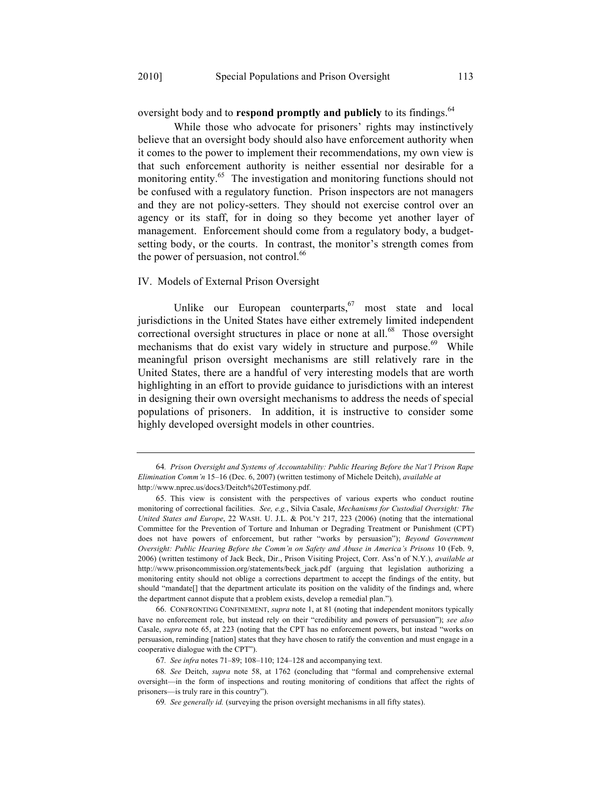oversight body and to **respond promptly and publicly** to its findings.<sup>64</sup>

While those who advocate for prisoners' rights may instinctively believe that an oversight body should also have enforcement authority when it comes to the power to implement their recommendations, my own view is that such enforcement authority is neither essential nor desirable for a monitoring entity.<sup>65</sup> The investigation and monitoring functions should not be confused with a regulatory function. Prison inspectors are not managers and they are not policy-setters. They should not exercise control over an agency or its staff, for in doing so they become yet another layer of management. Enforcement should come from a regulatory body, a budgetsetting body, or the courts. In contrast, the monitor's strength comes from the power of persuasion, not control.<sup>66</sup>

#### IV. Models of External Prison Oversight

Unlike our European counterparts,  $67$  most state and local jurisdictions in the United States have either extremely limited independent correctional oversight structures in place or none at all.<sup>68</sup> Those oversight mechanisms that do exist vary widely in structure and purpose.<sup>69</sup> While meaningful prison oversight mechanisms are still relatively rare in the United States, there are a handful of very interesting models that are worth highlighting in an effort to provide guidance to jurisdictions with an interest in designing their own oversight mechanisms to address the needs of special populations of prisoners. In addition, it is instructive to consider some highly developed oversight models in other countries.

<sup>64</sup>*. Prison Oversight and Systems of Accountability: Public Hearing Before the Nat'l Prison Rape Elimination Comm'n* 15–16 (Dec. 6, 2007) (written testimony of Michele Deitch), *available at* http://www.nprec.us/docs3/Deitch%20Testimony.pdf.

<sup>65.</sup> This view is consistent with the perspectives of various experts who conduct routine monitoring of correctional facilities. *See, e.g.*, Silvia Casale, *Mechanisms for Custodial Oversight: The United States and Europe*, 22 WASH. U. J.L. & POL'Y 217, 223 (2006) (noting that the international Committee for the Prevention of Torture and Inhuman or Degrading Treatment or Punishment (CPT) does not have powers of enforcement, but rather "works by persuasion"); *Beyond Government Oversight: Public Hearing Before the Comm'n on Safety and Abuse in America's Prisons* 10 (Feb. 9, 2006) (written testimony of Jack Beck, Dir., Prison Visiting Project, Corr. Ass'n of N.Y.), *available at* http://www.prisoncommission.org/statements/beck jack.pdf (arguing that legislation authorizing a monitoring entity should not oblige a corrections department to accept the findings of the entity, but should "mandate[] that the department articulate its position on the validity of the findings and, where the department cannot dispute that a problem exists, develop a remedial plan.").

<sup>66.</sup> CONFRONTING CONFINEMENT, *supra* note 1, at 81 (noting that independent monitors typically have no enforcement role, but instead rely on their "credibility and powers of persuasion"); *see also*  Casale, *supra* note 65, at 223 (noting that the CPT has no enforcement powers, but instead "works on persuasion, reminding [nation] states that they have chosen to ratify the convention and must engage in a cooperative dialogue with the CPT").

<sup>67</sup>*. See infra* notes 71–89; 108–110; 124–128 and accompanying text.

<sup>68</sup>*. See* Deitch, *supra* note 58, at 1762 (concluding that "formal and comprehensive external oversight—in the form of inspections and routing monitoring of conditions that affect the rights of prisoners—is truly rare in this country").

<sup>69</sup>*. See generally id.* (surveying the prison oversight mechanisms in all fifty states).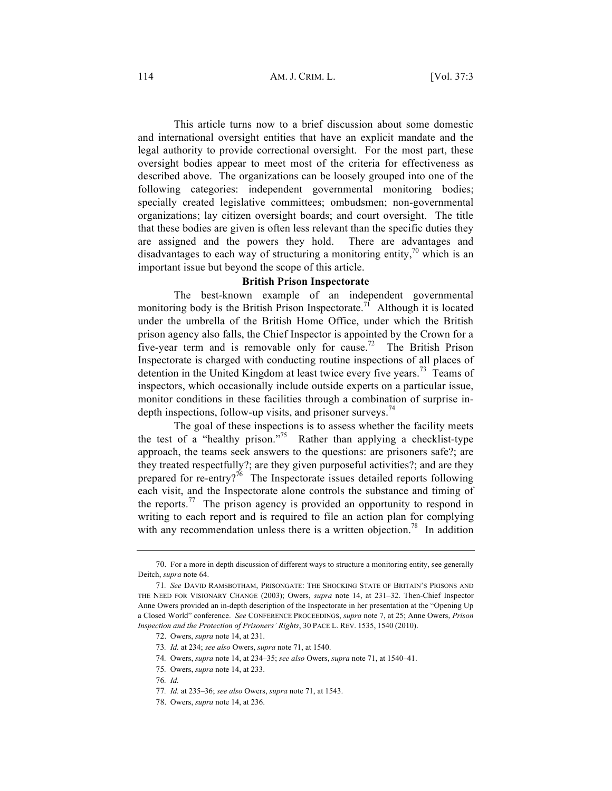This article turns now to a brief discussion about some domestic and international oversight entities that have an explicit mandate and the legal authority to provide correctional oversight. For the most part, these oversight bodies appear to meet most of the criteria for effectiveness as described above. The organizations can be loosely grouped into one of the following categories: independent governmental monitoring bodies; specially created legislative committees; ombudsmen; non-governmental organizations; lay citizen oversight boards; and court oversight. The title that these bodies are given is often less relevant than the specific duties they are assigned and the powers they hold. There are advantages and disadvantages to each way of structuring a monitoring entity,<sup>70</sup> which is an important issue but beyond the scope of this article.

#### **British Prison Inspectorate**

The best-known example of an independent governmental monitoring body is the British Prison Inspectorate.<sup>71</sup> Although it is located under the umbrella of the British Home Office, under which the British prison agency also falls, the Chief Inspector is appointed by the Crown for a five-year term and is removable only for cause.<sup>72</sup> The British Prison Inspectorate is charged with conducting routine inspections of all places of detention in the United Kingdom at least twice every five years.<sup>73</sup> Teams of inspectors, which occasionally include outside experts on a particular issue, monitor conditions in these facilities through a combination of surprise indepth inspections, follow-up visits, and prisoner surveys.<sup>74</sup>

The goal of these inspections is to assess whether the facility meets the test of a "healthy prison."<sup>75</sup> Rather than applying a checklist-type approach, the teams seek answers to the questions: are prisoners safe?; are they treated respectfully?; are they given purposeful activities?; and are they prepared for re-entry?<sup>76</sup> The Inspectorate issues detailed reports following each visit, and the Inspectorate alone controls the substance and timing of the reports.<sup>77</sup> The prison agency is provided an opportunity to respond in writing to each report and is required to file an action plan for complying with any recommendation unless there is a written objection.<sup>78</sup> In addition

<sup>70.</sup> For a more in depth discussion of different ways to structure a monitoring entity, see generally Deitch, *supra* note 64.

<sup>71</sup>*. See* DAVID RAMSBOTHAM, PRISONGATE: THE SHOCKING STATE OF BRITAIN'S PRISONS AND THE NEED FOR VISIONARY CHANGE (2003); Owers, *supra* note 14, at 231–32. Then-Chief Inspector Anne Owers provided an in-depth description of the Inspectorate in her presentation at the "Opening Up a Closed World" conference. *See* CONFERENCE PROCEEDINGS, *supra* note 7, at 25; Anne Owers, *Prison Inspection and the Protection of Prisoners' Rights*, 30 PACE L. REV. 1535, 1540 (2010).

<sup>72.</sup> Owers, *supra* note 14, at 231.

<sup>73</sup>*. Id.* at 234; *see also* Owers, *supra* note 71, at 1540.

<sup>74</sup>*.* Owers, *supra* note 14, at 234–35; *see also* Owers, *supra* note 71, at 1540–41.

<sup>75</sup>*.* Owers, *supra* note 14, at 233.

<sup>76</sup>*. Id.*

<sup>77</sup>*. Id.* at 235–36; *see also* Owers, *supra* note 71, at 1543.

<sup>78.</sup> Owers, *supra* note 14, at 236.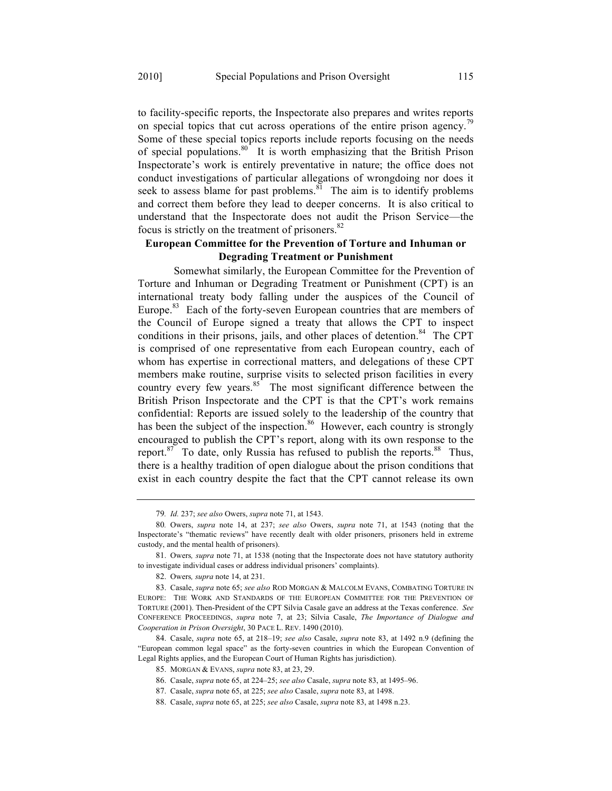to facility-specific reports, the Inspectorate also prepares and writes reports on special topics that cut across operations of the entire prison agency.<sup>79</sup> Some of these special topics reports include reports focusing on the needs of special populations.<sup>80</sup> It is worth emphasizing that the British Prison Inspectorate's work is entirely preventative in nature; the office does not conduct investigations of particular allegations of wrongdoing nor does it seek to assess blame for past problems.<sup>81</sup> The aim is to identify problems and correct them before they lead to deeper concerns. It is also critical to understand that the Inspectorate does not audit the Prison Service—the focus is strictly on the treatment of prisoners. $82$ 

# **European Committee for the Prevention of Torture and Inhuman or Degrading Treatment or Punishment**

Somewhat similarly, the European Committee for the Prevention of Torture and Inhuman or Degrading Treatment or Punishment (CPT) is an international treaty body falling under the auspices of the Council of Europe.<sup>83</sup> Each of the forty-seven European countries that are members of the Council of Europe signed a treaty that allows the CPT to inspect conditions in their prisons, jails, and other places of detention.<sup>84</sup> The CPT is comprised of one representative from each European country, each of whom has expertise in correctional matters, and delegations of these CPT members make routine, surprise visits to selected prison facilities in every country every few years.<sup>85</sup> The most significant difference between the British Prison Inspectorate and the CPT is that the CPT's work remains confidential: Reports are issued solely to the leadership of the country that has been the subject of the inspection.<sup>86</sup> However, each country is strongly encouraged to publish the CPT's report, along with its own response to the report. $87$  To date, only Russia has refused to publish the reports. $88$  Thus, there is a healthy tradition of open dialogue about the prison conditions that exist in each country despite the fact that the CPT cannot release its own

<sup>79</sup>*. Id.* 237; *see also* Owers, *supra* note 71, at 1543.

<sup>80</sup>*.* Owers, *supra* note 14, at 237; *see also* Owers, *supra* note 71, at 1543 (noting that the Inspectorate's "thematic reviews" have recently dealt with older prisoners, prisoners held in extreme custody, and the mental health of prisoners).

<sup>81.</sup> Owers*, supra* note 71, at 1538 (noting that the Inspectorate does not have statutory authority to investigate individual cases or address individual prisoners' complaints).

<sup>82.</sup> Owers*, supra* note 14, at 231.

<sup>83.</sup> Casale, *supra* note 65; *see also* ROD MORGAN & MALCOLM EVANS, COMBATING TORTURE IN EUROPE: THE WORK AND STANDARDS OF THE EUROPEAN COMMITTEE FOR THE PREVENTION OF TORTURE (2001). Then-President of the CPT Silvia Casale gave an address at the Texas conference. *See* CONFERENCE PROCEEDINGS, *supra* note 7, at 23; Silvia Casale, *The Importance of Dialogue and Cooperation in Prison Oversight*, 30 PACE L. REV. 1490 (2010).

<sup>84.</sup> Casale, *supra* note 65, at 218–19; *see also* Casale, *supra* note 83, at 1492 n.9 (defining the "European common legal space" as the forty-seven countries in which the European Convention of Legal Rights applies, and the European Court of Human Rights has jurisdiction).

<sup>85.</sup> MORGAN & EVANS, *supra* note 83, at 23, 29.

<sup>86.</sup> Casale, *supra* note 65, at 224–25; *see also* Casale, *supra* note 83, at 1495–96.

<sup>87.</sup> Casale, *supra* note 65, at 225; *see also* Casale, *supra* note 83, at 1498.

<sup>88.</sup> Casale, *supra* note 65, at 225; *see also* Casale, *supra* note 83, at 1498 n.23.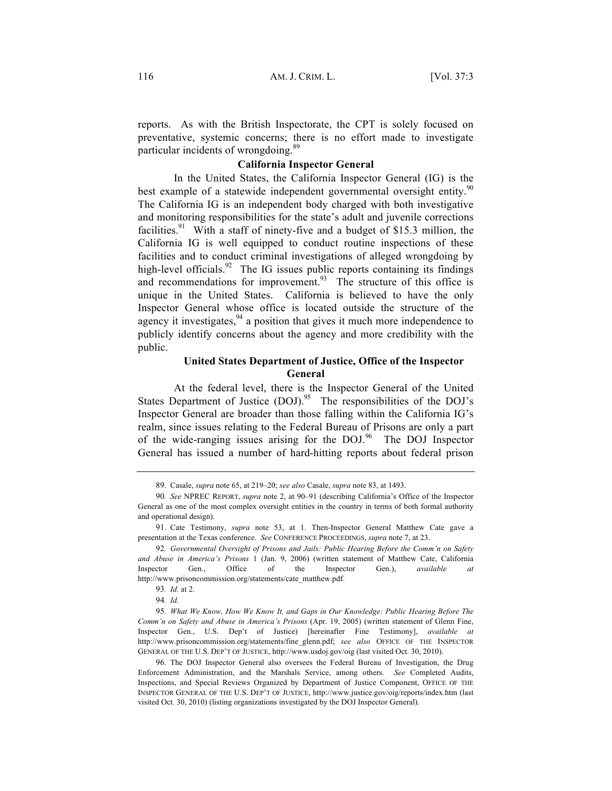reports. As with the British Inspectorate, the CPT is solely focused on preventative, systemic concerns; there is no effort made to investigate particular incidents of wrongdoing.<sup>89</sup>

# **California Inspector General**

In the United States, the California Inspector General (IG) is the best example of a statewide independent governmental oversight entity.<sup>90</sup> The California IG is an independent body charged with both investigative and monitoring responsibilities for the state's adult and juvenile corrections facilities.<sup>91</sup> With a staff of ninety-five and a budget of \$15.3 million, the California IG is well equipped to conduct routine inspections of these facilities and to conduct criminal investigations of alleged wrongdoing by high-level officials.<sup>92</sup> The IG issues public reports containing its findings and recommendations for improvement. $93$  The structure of this office is unique in the United States. California is believed to have the only Inspector General whose office is located outside the structure of the agency it investigates,  $94$  a position that gives it much more independence to publicly identify concerns about the agency and more credibility with the public.

# **United States Department of Justice, Office of the Inspector General**

At the federal level, there is the Inspector General of the United States Department of Justice (DOJ).<sup>95</sup> The responsibilities of the DOJ's Inspector General are broader than those falling within the California IG's realm, since issues relating to the Federal Bureau of Prisons are only a part of the wide-ranging issues arising for the  $DOJ<sup>96</sup>$  The DOJ Inspector General has issued a number of hard-hitting reports about federal prison

<sup>89.</sup> Casale, *supra* note 65, at 219–20; *see also* Casale, *supra* note 83, at 1493.

<sup>90</sup>*. See* NPREC REPORT, *supra* note 2, at 90–91 (describing California's Office of the Inspector General as one of the most complex oversight entities in the country in terms of both formal authority and operational design).

<sup>91.</sup> Cate Testimony, *supra* note 53, at 1. Then-Inspector General Matthew Cate gave a presentation at the Texas conference. *See* CONFERENCE PROCEEDINGS, *supra* note 7, at 23.

<sup>92</sup>*. Governmental Oversight of Prisons and Jails: Public Hearing Before the Comm'n on Safety and Abuse in America's Prisons* 1 (Jan. 9, 2006) (written statement of Matthew Cate, California Inspector Gen., Office of the Inspector Gen.), *available at* http://www.prisoncommission.org/statements/cate\_matthew.pdf.

<sup>93</sup>*. Id.* at 2.

<sup>94</sup>*. Id.*

<sup>95</sup>*. What We Know, How We Know It, and Gaps in Our Knowledge: Public Hearing Before The Comm'n on Safety and Abuse in America's Prisons* (Apr. 19, 2005) (written statement of Glenn Fine, Inspector Gen., U.S. Dep't of Justice) [hereinafter Fine Testimony], *available at* http://www.prisoncommission.org/statements/fine\_glenn.pdf; *see also* OFFICE OF THE INSPECTOR GENERAL OF THE U.S. DEP'T OF JUSTICE, http://www.usdoj.gov/oig (last visited Oct. 30, 2010).

<sup>96.</sup> The DOJ Inspector General also oversees the Federal Bureau of Investigation, the Drug Enforcement Administration, and the Marshals Service, among others. *See* Completed Audits, Inspections, and Special Reviews Organized by Department of Justice Component, OFFICE OF THE INSPECTOR GENERAL OF THE U.S. DEP'T OF JUSTICE, http://www.justice.gov/oig/reports/index.htm (last visited Oct. 30, 2010) (listing organizations investigated by the DOJ Inspector General).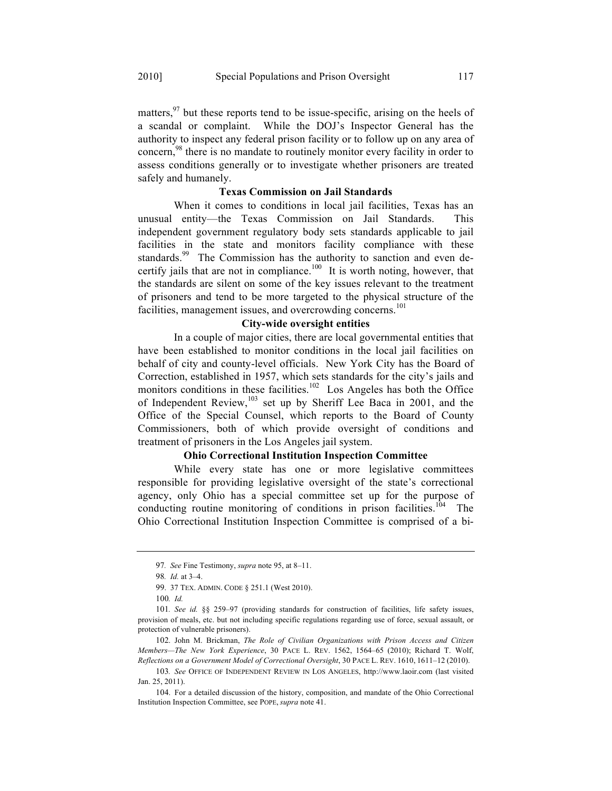matters,  $97$  but these reports tend to be issue-specific, arising on the heels of a scandal or complaint. While the DOJ's Inspector General has the authority to inspect any federal prison facility or to follow up on any area of concern,<sup>98</sup> there is no mandate to routinely monitor every facility in order to assess conditions generally or to investigate whether prisoners are treated safely and humanely.

#### **Texas Commission on Jail Standards**

When it comes to conditions in local jail facilities, Texas has an unusual entity—the Texas Commission on Jail Standards. This independent government regulatory body sets standards applicable to jail facilities in the state and monitors facility compliance with these standards.<sup>99</sup> The Commission has the authority to sanction and even decertify jails that are not in compliance.<sup>100</sup> It is worth noting, however, that the standards are silent on some of the key issues relevant to the treatment of prisoners and tend to be more targeted to the physical structure of the facilities, management issues, and overcrowding concerns.<sup>101</sup>

# **City-wide oversight entities**

In a couple of major cities, there are local governmental entities that have been established to monitor conditions in the local jail facilities on behalf of city and county-level officials. New York City has the Board of Correction, established in 1957, which sets standards for the city's jails and monitors conditions in these facilities.<sup>102</sup> Los Angeles has both the Office of Independent Review,  $103$  set up by Sheriff Lee Baca in 2001, and the Office of the Special Counsel, which reports to the Board of County Commissioners, both of which provide oversight of conditions and treatment of prisoners in the Los Angeles jail system.

# **Ohio Correctional Institution Inspection Committee**

While every state has one or more legislative committees responsible for providing legislative oversight of the state's correctional agency, only Ohio has a special committee set up for the purpose of conducting routine monitoring of conditions in prison facilities.<sup>104</sup> The Ohio Correctional Institution Inspection Committee is comprised of a bi-

<sup>97</sup>*. See* Fine Testimony, *supra* note 95, at 8–11.

<sup>98</sup>*. Id.* at 3–4.

<sup>99.</sup> 37 TEX. ADMIN. CODE § 251.1 (West 2010).

<sup>100</sup>*. Id.*

<sup>101</sup>*. See id.* §§ 259–97 (providing standards for construction of facilities, life safety issues, provision of meals, etc. but not including specific regulations regarding use of force, sexual assault, or protection of vulnerable prisoners).

<sup>102.</sup> John M. Brickman, *The Role of Civilian Organizations with Prison Access and Citizen Members—The New York Experience*, 30 PACE L. REV. 1562, 1564–65 (2010); Richard T. Wolf, *Reflections on a Government Model of Correctional Oversight*, 30 PACE L. REV. 1610, 1611–12 (2010).

<sup>103</sup>*. See* OFFICE OF INDEPENDENT REVIEW IN LOS ANGELES, http://www.laoir.com (last visited Jan. 25, 2011).

<sup>104.</sup> For a detailed discussion of the history, composition, and mandate of the Ohio Correctional Institution Inspection Committee, see POPE, *supra* note 41.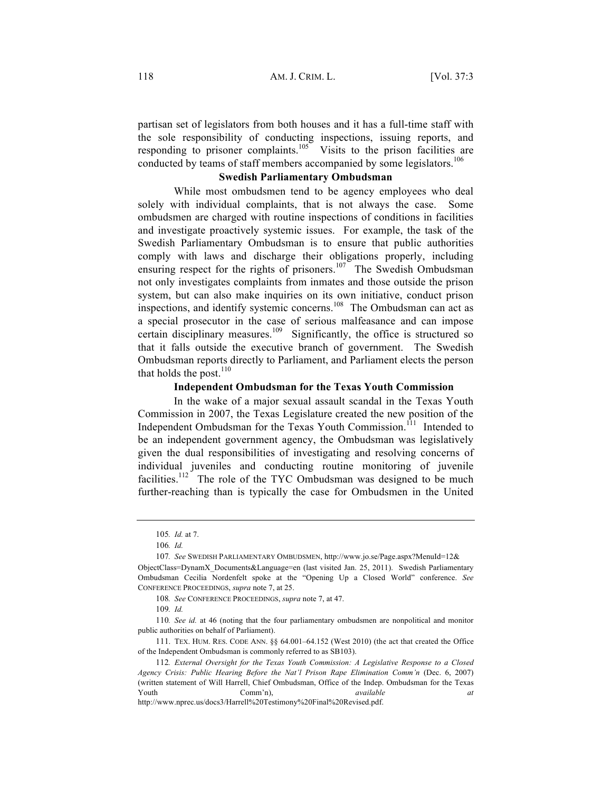partisan set of legislators from both houses and it has a full-time staff with the sole responsibility of conducting inspections, issuing reports, and responding to prisoner complaints.<sup>105</sup> Visits to the prison facilities are conducted by teams of staff members accompanied by some legislators.<sup>106</sup>

# **Swedish Parliamentary Ombudsman**

While most ombudsmen tend to be agency employees who deal solely with individual complaints, that is not always the case. Some ombudsmen are charged with routine inspections of conditions in facilities and investigate proactively systemic issues. For example, the task of the Swedish Parliamentary Ombudsman is to ensure that public authorities comply with laws and discharge their obligations properly, including ensuring respect for the rights of prisoners.<sup>107</sup> The Swedish Ombudsman not only investigates complaints from inmates and those outside the prison system, but can also make inquiries on its own initiative, conduct prison inspections, and identify systemic concerns.<sup>108</sup> The Ombudsman can act as a special prosecutor in the case of serious malfeasance and can impose certain disciplinary measures.<sup>109</sup> Significantly, the office is structured so that it falls outside the executive branch of government. The Swedish Ombudsman reports directly to Parliament, and Parliament elects the person that holds the post. $110$ 

# **Independent Ombudsman for the Texas Youth Commission**

In the wake of a major sexual assault scandal in the Texas Youth Commission in 2007, the Texas Legislature created the new position of the Independent Ombudsman for the Texas Youth Commission.<sup>111</sup> Intended to be an independent government agency, the Ombudsman was legislatively given the dual responsibilities of investigating and resolving concerns of individual juveniles and conducting routine monitoring of juvenile facilities.<sup>112</sup> The role of the TYC Ombudsman was designed to be much further-reaching than is typically the case for Ombudsmen in the United

<sup>105</sup>*. Id.* at 7.

<sup>106</sup>*. Id.*

<sup>107</sup>*. See* SWEDISH PARLIAMENTARY OMBUDSMEN, http://www.jo.se/Page.aspx?MenuId=12&

ObjectClass=DynamX\_Documents&Language=en (last visited Jan. 25, 2011). Swedish Parliamentary Ombudsman Cecilia Nordenfelt spoke at the "Opening Up a Closed World" conference. *See*  CONFERENCE PROCEEDINGS, *supra* note 7, at 25.

<sup>108</sup>*. See* CONFERENCE PROCEEDINGS, *supra* note 7, at 47.

<sup>109</sup>*. Id.*

<sup>110</sup>*. See id.* at 46 (noting that the four parliamentary ombudsmen are nonpolitical and monitor public authorities on behalf of Parliament).

<sup>111.</sup> TEX. HUM. RES. CODE ANN. §§ 64.001–64.152 (West 2010) (the act that created the Office of the Independent Ombudsman is commonly referred to as SB103).

<sup>112</sup>*. External Oversight for the Texas Youth Commission: A Legislative Response to a Closed Agency Crisis: Public Hearing Before the Nat'l Prison Rape Elimination Comm'n* (Dec. 6, 2007) (written statement of Will Harrell, Chief Ombudsman, Office of the Indep. Ombudsman for the Texas Youth Comm'n), *available at*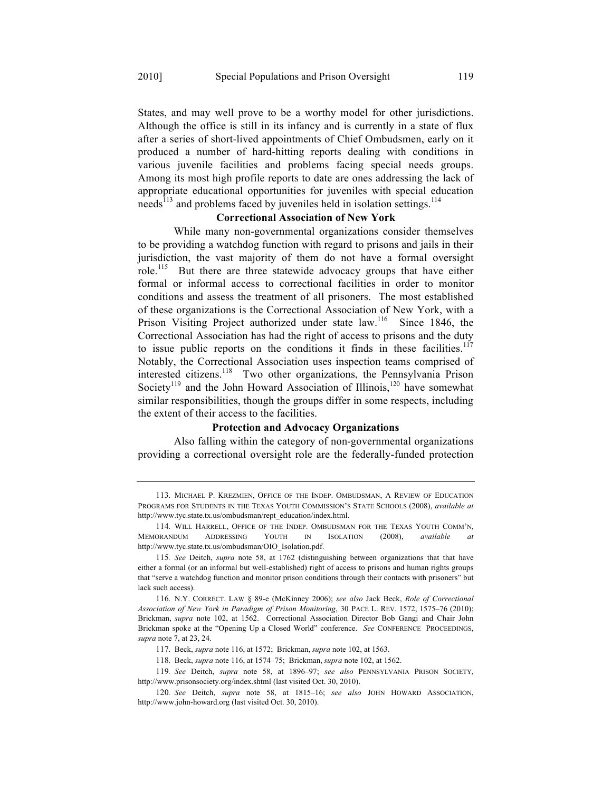States, and may well prove to be a worthy model for other jurisdictions. Although the office is still in its infancy and is currently in a state of flux after a series of short-lived appointments of Chief Ombudsmen, early on it produced a number of hard-hitting reports dealing with conditions in various juvenile facilities and problems facing special needs groups. Among its most high profile reports to date are ones addressing the lack of appropriate educational opportunities for juveniles with special education needs<sup>113</sup> and problems faced by juveniles held in isolation settings.<sup>114</sup>

# **Correctional Association of New York**

While many non-governmental organizations consider themselves to be providing a watchdog function with regard to prisons and jails in their jurisdiction, the vast majority of them do not have a formal oversight role.<sup>115</sup> But there are three statewide advocacy groups that have either formal or informal access to correctional facilities in order to monitor conditions and assess the treatment of all prisoners. The most established of these organizations is the Correctional Association of New York, with a Prison Visiting Project authorized under state law.<sup>116</sup> Since 1846, the Correctional Association has had the right of access to prisons and the duty to issue public reports on the conditions it finds in these facilities.<sup>117</sup> Notably, the Correctional Association uses inspection teams comprised of interested citizens.<sup>118</sup> Two other organizations, the Pennsylvania Prison Society<sup>119</sup> and the John Howard Association of Illinois,<sup>120</sup> have somewhat similar responsibilities, though the groups differ in some respects, including the extent of their access to the facilities.

#### **Protection and Advocacy Organizations**

Also falling within the category of non-governmental organizations providing a correctional oversight role are the federally-funded protection

<sup>113.</sup> MICHAEL P. KREZMIEN, OFFICE OF THE INDEP. OMBUDSMAN, A REVIEW OF EDUCATION PROGRAMS FOR STUDENTS IN THE TEXAS YOUTH COMMISSION'S STATE SCHOOLS (2008), *available at* http://www.tyc.state.tx.us/ombudsman/rept\_education/index.html.

<sup>114.</sup> WILL HARRELL, OFFICE OF THE INDEP. OMBUDSMAN FOR THE TEXAS YOUTH COMM'N, MEMORANDUM ADDRESSING YOUTH IN ISOLATION (2008), *available at* http://www.tyc.state.tx.us/ombudsman/OIO\_Isolation.pdf.

<sup>115</sup>*. See* Deitch, *supra* note 58, at 1762 (distinguishing between organizations that that have either a formal (or an informal but well-established) right of access to prisons and human rights groups that "serve a watchdog function and monitor prison conditions through their contacts with prisoners" but lack such access).

<sup>116.</sup> N.Y. CORRECT. LAW § 89-e (McKinney 2006); *see also* Jack Beck, *Role of Correctional Association of New York in Paradigm of Prison Monitoring*, 30 PACE L. REV. 1572, 1575–76 (2010); Brickman, *supra* note 102, at 1562. Correctional Association Director Bob Gangi and Chair John Brickman spoke at the "Opening Up a Closed World" conference. *See* CONFERENCE PROCEEDINGS, *supra* note 7, at 23, 24.

<sup>117.</sup> Beck, *supra* note 116, at 1572; Brickman, *supra* note 102, at 1563.

<sup>118.</sup> Beck, *supra* note 116, at 1574–75; Brickman, *supra* note 102, at 1562.

<sup>119</sup>*. See* Deitch, *supra* note 58, at 1896–97; *see also* PENNSYLVANIA PRISON SOCIETY, http://www.prisonsociety.org/index.shtml (last visited Oct. 30, 2010).

<sup>120</sup>*. See* Deitch, *supra* note 58, at 1815–16; *see also* JOHN HOWARD ASSOCIATION, http://www.john-howard.org (last visited Oct. 30, 2010).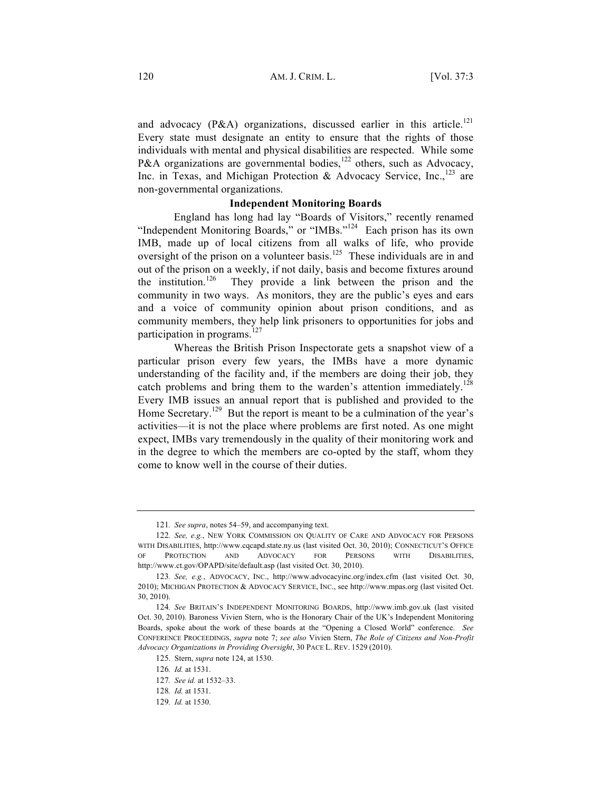and advocacy (P&A) organizations, discussed earlier in this article.<sup>121</sup> Every state must designate an entity to ensure that the rights of those individuals with mental and physical disabilities are respected. While some P&A organizations are governmental bodies,<sup>122</sup> others, such as Advocacy, Inc. in Texas, and Michigan Protection & Advocacy Service, Inc., $^{123}$  are non-governmental organizations.

# **Independent Monitoring Boards**

England has long had lay "Boards of Visitors," recently renamed "Independent Monitoring Boards," or "IMBs."<sup>124</sup> Each prison has its own IMB, made up of local citizens from all walks of life, who provide oversight of the prison on a volunteer basis.<sup>125</sup> These individuals are in and out of the prison on a weekly, if not daily, basis and become fixtures around the institution.<sup>126</sup> They provide a link between the prison and the community in two ways. As monitors, they are the public's eyes and ears and a voice of community opinion about prison conditions, and as community members, they help link prisoners to opportunities for jobs and participation in programs.<sup>127</sup>

Whereas the British Prison Inspectorate gets a snapshot view of a particular prison every few years, the IMBs have a more dynamic understanding of the facility and, if the members are doing their job, they catch problems and bring them to the warden's attention immediately.<sup>128</sup> Every IMB issues an annual report that is published and provided to the Home Secretary.<sup>129</sup> But the report is meant to be a culmination of the year's activities—it is not the place where problems are first noted. As one might expect, IMBs vary tremendously in the quality of their monitoring work and in the degree to which the members are co-opted by the staff, whom they come to know well in the course of their duties.

<sup>121</sup>*. See supra*, notes 54–59, and accompanying text.

<sup>122</sup>*. See, e.g.*, NEW YORK COMMISSION ON QUALITY OF CARE AND ADVOCACY FOR PERSONS WITH DISABILITIES, http://www.cqcapd.state.ny.us (last visited Oct. 30, 2010); CONNECTICUT'S OFFICE OF PROTECTION AND ADVOCACY FOR PERSONS WITH DISABILITIES, http://www.ct.gov/OPAPD/site/default.asp (last visited Oct. 30, 2010).

<sup>123</sup>*. See, e.g.*, ADVOCACY, INC., http://www.advocacyinc.org/index.cfm (last visited Oct. 30, 2010); MICHIGAN PROTECTION & ADVOCACY SERVICE, INC., see http://www.mpas.org (last visited Oct. 30, 2010).

<sup>124</sup>*. See* BRITAIN'S INDEPENDENT MONITORING BOARDS, http://www.imb.gov.uk (last visited Oct. 30, 2010). Baroness Vivien Stern, who is the Honorary Chair of the UK's Independent Monitoring Boards, spoke about the work of these boards at the "Opening a Closed World" conference. *See*  CONFERENCE PROCEEDINGS, *supra* note 7; *see also* Vivien Stern, *The Role of Citizens and Non-Profit Advocacy Organizations in Providing Oversight*, 30 PACE L. REV. 1529 (2010).

<sup>125.</sup> Stern, *supra* note 124, at 1530.

<sup>126</sup>*. Id.* at 1531.

<sup>127</sup>*. See id.* at 1532–33.

<sup>128</sup>*. Id.* at 1531.

<sup>129</sup>*. Id.* at 1530.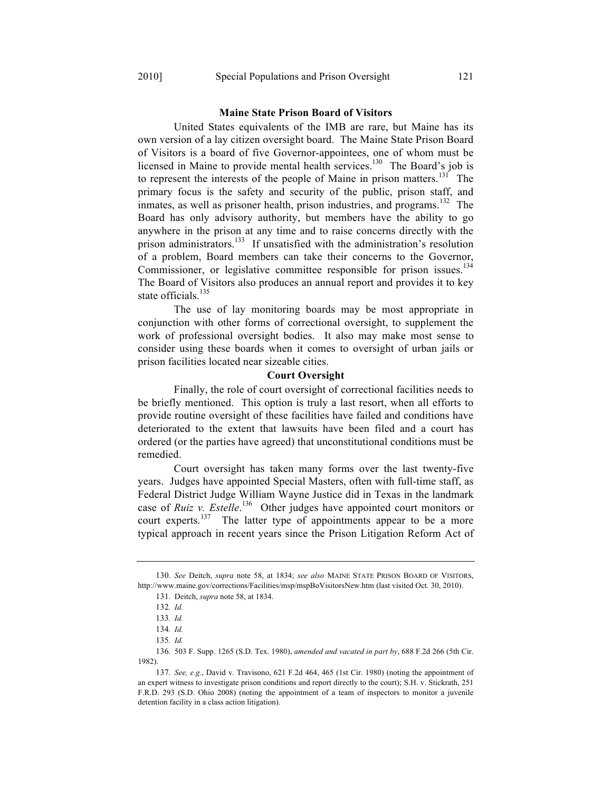#### **Maine State Prison Board of Visitors**

United States equivalents of the IMB are rare, but Maine has its own version of a lay citizen oversight board. The Maine State Prison Board of Visitors is a board of five Governor-appointees, one of whom must be licensed in Maine to provide mental health services.<sup>130</sup> The Board's job is to represent the interests of the people of Maine in prison matters.<sup>131</sup> The primary focus is the safety and security of the public, prison staff, and inmates, as well as prisoner health, prison industries, and programs.<sup>132</sup> The Board has only advisory authority, but members have the ability to go anywhere in the prison at any time and to raise concerns directly with the prison administrators.133 If unsatisfied with the administration's resolution of a problem, Board members can take their concerns to the Governor, Commissioner, or legislative committee responsible for prison issues.<sup>134</sup> The Board of Visitors also produces an annual report and provides it to key state officials. $135$ 

The use of lay monitoring boards may be most appropriate in conjunction with other forms of correctional oversight, to supplement the work of professional oversight bodies. It also may make most sense to consider using these boards when it comes to oversight of urban jails or prison facilities located near sizeable cities.

### **Court Oversight**

Finally, the role of court oversight of correctional facilities needs to be briefly mentioned. This option is truly a last resort, when all efforts to provide routine oversight of these facilities have failed and conditions have deteriorated to the extent that lawsuits have been filed and a court has ordered (or the parties have agreed) that unconstitutional conditions must be remedied.

Court oversight has taken many forms over the last twenty-five years. Judges have appointed Special Masters, often with full-time staff, as Federal District Judge William Wayne Justice did in Texas in the landmark case of *Ruiz v. Estelle*. 136 Other judges have appointed court monitors or court experts.<sup>137</sup> The latter type of appointments appear to be a more typical approach in recent years since the Prison Litigation Reform Act of

<sup>130.</sup> *See* Deitch, *supra* note 58, at 1834; *see also* MAINE STATE PRISON BOARD OF VISITORS, http://www.maine.gov/corrections/Facilities/msp/mspBoVisitorsNew.htm (last visited Oct. 30, 2010).

<sup>131.</sup> Deitch, *supra* note 58, at 1834.

<sup>132</sup>*. Id.*

<sup>133</sup>*. Id.*

<sup>134</sup>*. Id.*

<sup>135</sup>*. Id.*

<sup>136.</sup> 503 F. Supp. 1265 (S.D. Tex. 1980), *amended and vacated in part by*, 688 F.2d 266 (5th Cir. 1982).

<sup>137.</sup> *See, e.g.*, David v. Travisono, 621 F.2d 464, 465 (1st Cir. 1980) (noting the appointment of an expert witness to investigate prison conditions and report directly to the court); S.H. v. Stickrath, 251 F.R.D. 293 (S.D. Ohio 2008) (noting the appointment of a team of inspectors to monitor a juvenile detention facility in a class action litigation).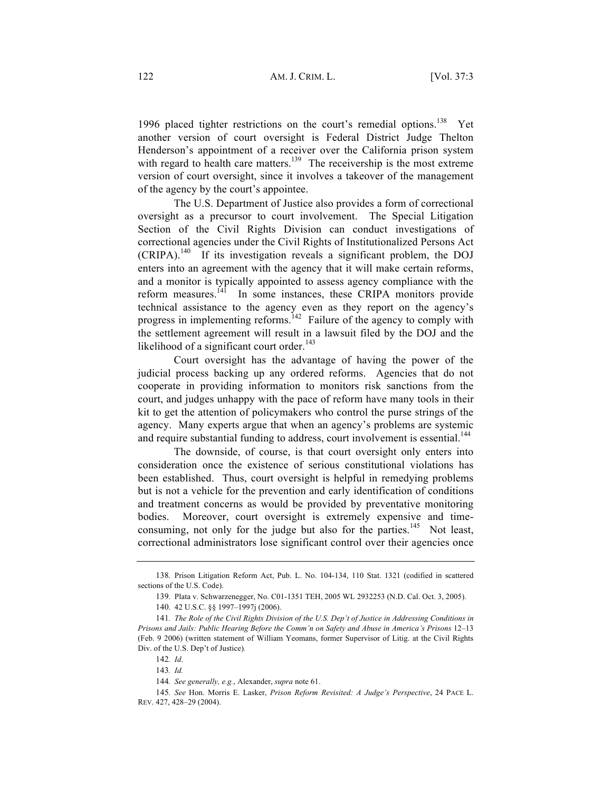1996 placed tighter restrictions on the court's remedial options.<sup>138</sup> Yet another version of court oversight is Federal District Judge Thelton Henderson's appointment of a receiver over the California prison system with regard to health care matters.<sup>139</sup> The receivership is the most extreme version of court oversight, since it involves a takeover of the management of the agency by the court's appointee.

The U.S. Department of Justice also provides a form of correctional oversight as a precursor to court involvement. The Special Litigation Section of the Civil Rights Division can conduct investigations of correctional agencies under the Civil Rights of Institutionalized Persons Act  $(CRIPA)$ .<sup>140</sup> If its investigation reveals a significant problem, the DOJ enters into an agreement with the agency that it will make certain reforms, and a monitor is typically appointed to assess agency compliance with the reform measures.<sup>141</sup> In some instances, these CRIPA monitors provide technical assistance to the agency even as they report on the agency's progress in implementing reforms.<sup>142</sup> Failure of the agency to comply with the settlement agreement will result in a lawsuit filed by the DOJ and the likelihood of a significant court order. $143$ 

Court oversight has the advantage of having the power of the judicial process backing up any ordered reforms. Agencies that do not cooperate in providing information to monitors risk sanctions from the court, and judges unhappy with the pace of reform have many tools in their kit to get the attention of policymakers who control the purse strings of the agency. Many experts argue that when an agency's problems are systemic and require substantial funding to address, court involvement is essential.<sup>144</sup>

The downside, of course, is that court oversight only enters into consideration once the existence of serious constitutional violations has been established. Thus, court oversight is helpful in remedying problems but is not a vehicle for the prevention and early identification of conditions and treatment concerns as would be provided by preventative monitoring bodies. Moreover, court oversight is extremely expensive and timeconsuming, not only for the judge but also for the parties.<sup>145</sup> Not least, correctional administrators lose significant control over their agencies once

<sup>138.</sup> Prison Litigation Reform Act, Pub. L. No. 104-134, 110 Stat. 1321 (codified in scattered sections of the U.S. Code).

<sup>139.</sup> Plata v. Schwarzenegger, No. C01-1351 TEH, 2005 WL 2932253 (N.D. Cal. Oct. 3, 2005).

<sup>140.</sup> 42 U.S.C. §§ 1997–1997j (2006).

<sup>141</sup>*. The Role of the Civil Rights Division of the U.S. Dep't of Justice in Addressing Conditions in Prisons and Jails: Public Hearing Before the Comm'n on Safety and Abuse in America's Prisons* 12–13 (Feb. 9 2006) (written statement of William Yeomans, former Supervisor of Litig. at the Civil Rights Div. of the U.S. Dep't of Justice)*.*

<sup>142</sup>*. Id*.

<sup>143</sup>*. Id.*

<sup>144</sup>*. See generally, e.g.*, Alexander, *supra* note 61.

<sup>145</sup>*. See* Hon. Morris E. Lasker, *Prison Reform Revisited: A Judge's Perspective*, 24 PACE L. REV. 427, 428–29 (2004).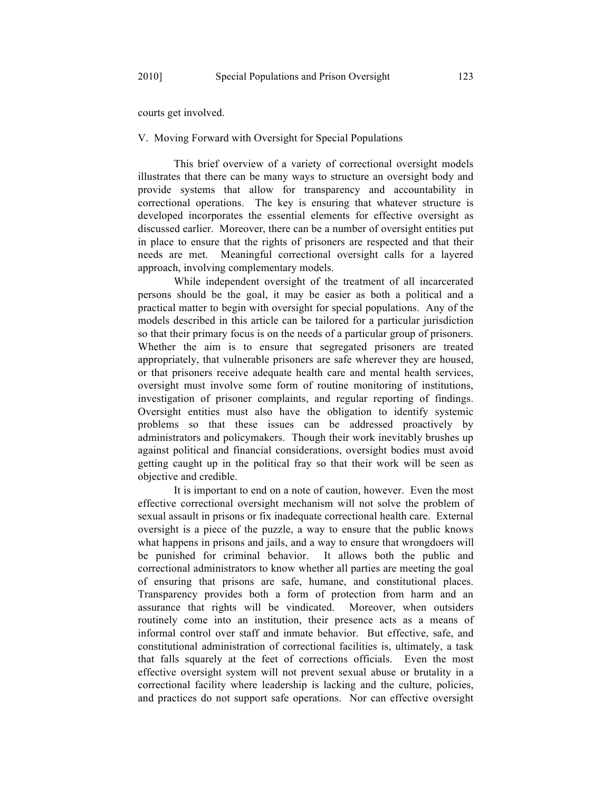courts get involved.

# V. Moving Forward with Oversight for Special Populations

This brief overview of a variety of correctional oversight models illustrates that there can be many ways to structure an oversight body and provide systems that allow for transparency and accountability in correctional operations. The key is ensuring that whatever structure is developed incorporates the essential elements for effective oversight as discussed earlier. Moreover, there can be a number of oversight entities put in place to ensure that the rights of prisoners are respected and that their needs are met. Meaningful correctional oversight calls for a layered approach, involving complementary models.

While independent oversight of the treatment of all incarcerated persons should be the goal, it may be easier as both a political and a practical matter to begin with oversight for special populations. Any of the models described in this article can be tailored for a particular jurisdiction so that their primary focus is on the needs of a particular group of prisoners. Whether the aim is to ensure that segregated prisoners are treated appropriately, that vulnerable prisoners are safe wherever they are housed, or that prisoners receive adequate health care and mental health services, oversight must involve some form of routine monitoring of institutions, investigation of prisoner complaints, and regular reporting of findings. Oversight entities must also have the obligation to identify systemic problems so that these issues can be addressed proactively by administrators and policymakers. Though their work inevitably brushes up against political and financial considerations, oversight bodies must avoid getting caught up in the political fray so that their work will be seen as objective and credible.

It is important to end on a note of caution, however. Even the most effective correctional oversight mechanism will not solve the problem of sexual assault in prisons or fix inadequate correctional health care. External oversight is a piece of the puzzle, a way to ensure that the public knows what happens in prisons and jails, and a way to ensure that wrongdoers will be punished for criminal behavior. It allows both the public and correctional administrators to know whether all parties are meeting the goal of ensuring that prisons are safe, humane, and constitutional places. Transparency provides both a form of protection from harm and an assurance that rights will be vindicated. Moreover, when outsiders routinely come into an institution, their presence acts as a means of informal control over staff and inmate behavior. But effective, safe, and constitutional administration of correctional facilities is, ultimately, a task that falls squarely at the feet of corrections officials. Even the most effective oversight system will not prevent sexual abuse or brutality in a correctional facility where leadership is lacking and the culture, policies, and practices do not support safe operations. Nor can effective oversight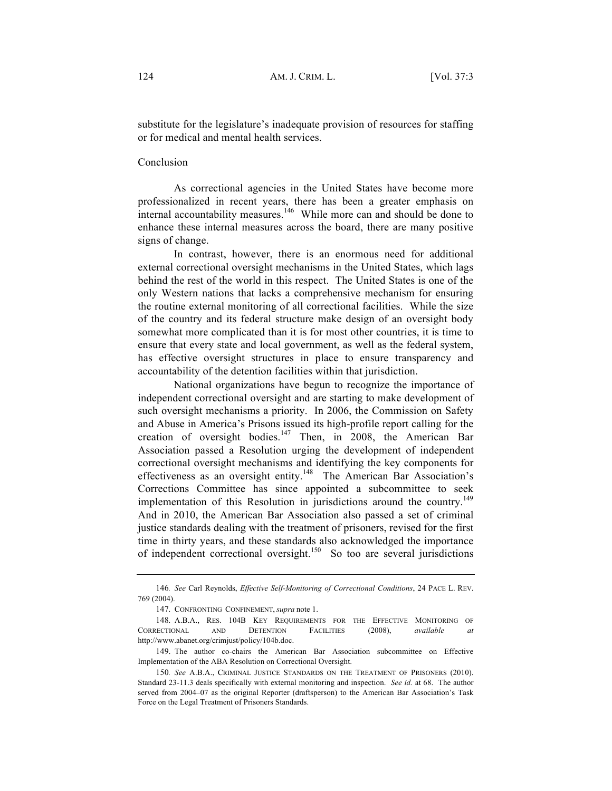substitute for the legislature's inadequate provision of resources for staffing or for medical and mental health services.

### Conclusion

As correctional agencies in the United States have become more professionalized in recent years, there has been a greater emphasis on internal accountability measures.<sup>146</sup> While more can and should be done to enhance these internal measures across the board, there are many positive signs of change.

In contrast, however, there is an enormous need for additional external correctional oversight mechanisms in the United States, which lags behind the rest of the world in this respect. The United States is one of the only Western nations that lacks a comprehensive mechanism for ensuring the routine external monitoring of all correctional facilities. While the size of the country and its federal structure make design of an oversight body somewhat more complicated than it is for most other countries, it is time to ensure that every state and local government, as well as the federal system, has effective oversight structures in place to ensure transparency and accountability of the detention facilities within that jurisdiction.

National organizations have begun to recognize the importance of independent correctional oversight and are starting to make development of such oversight mechanisms a priority. In 2006, the Commission on Safety and Abuse in America's Prisons issued its high-profile report calling for the creation of oversight bodies. <sup>147</sup> Then, in 2008, the American Bar Association passed a Resolution urging the development of independent correctional oversight mechanisms and identifying the key components for effectiveness as an oversight entity.<sup>148</sup> The American Bar Association's Corrections Committee has since appointed a subcommittee to seek implementation of this Resolution in jurisdictions around the country.<sup>149</sup> And in 2010, the American Bar Association also passed a set of criminal justice standards dealing with the treatment of prisoners, revised for the first time in thirty years, and these standards also acknowledged the importance of independent correctional oversight.<sup>150</sup> So too are several jurisdictions

<sup>146</sup>*. See* Carl Reynolds, *Effective Self-Monitoring of Correctional Conditions*, 24 PACE L. REV. 769 (2004).

<sup>147.</sup> CONFRONTING CONFINEMENT, *supra* note 1.

<sup>148.</sup> A.B.A., RES. 104B KEY REQUIREMENTS FOR THE EFFECTIVE MONITORING OF CORRECTIONAL AND DETENTION FACILITIES (2008), *available at* http://www.abanet.org/crimjust/policy/104b.doc.

<sup>149.</sup> The author co-chairs the American Bar Association subcommittee on Effective Implementation of the ABA Resolution on Correctional Oversight.

<sup>150</sup>*. See* A.B.A., CRIMINAL JUSTICE STANDARDS ON THE TREATMENT OF PRISONERS (2010). Standard 23-11.3 deals specifically with external monitoring and inspection. *See id.* at 68. The author served from 2004–07 as the original Reporter (draftsperson) to the American Bar Association's Task Force on the Legal Treatment of Prisoners Standards.